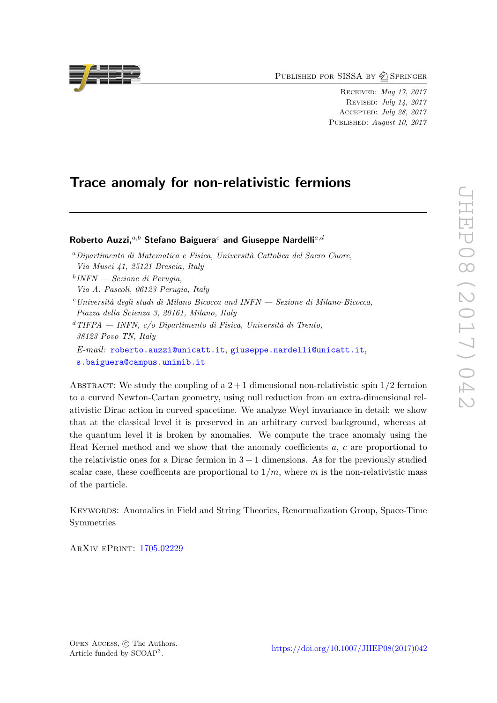PUBLISHED FOR SISSA BY 2 SPRINGER

Received: May 17, 2017 Revised: July 14, 2017 Accepted: July 28, 2017 PUBLISHED: August 10, 2017

# Trace anomaly for non-relativistic fermions

# Roberto Auzzi. $a,b$  Stefano Baiguera<sup>c</sup> and Giuseppe Nardelli<sup>a,d</sup>

 $a$ Dipartimento di Matematica e Fisica, Università Cattolica del Sacro Cuore, Via Musei 41, 25121 Brescia, Italy

b INFN — Sezione di Perugia,

Via A. Pascoli, 06123 Perugia, Italy

- $c$ Università degli studi di Milano Bicocca and INFN Sezione di Milano-Bicocca, Piazza della Scienza 3, 20161, Milano, Italy
- $d$ TIFPA INFN, c/o Dipartimento di Fisica, Università di Trento, 38123 Povo TN, Italy
- E-mail: [roberto.auzzi@unicatt.it](mailto:roberto.auzzi@unicatt.it), [giuseppe.nardelli@unicatt.it](mailto:giuseppe.nardelli@unicatt.it), [s.baiguera@campus.unimib.it](mailto:s.baiguera@campus.unimib.it)

ABSTRACT: We study the coupling of a  $2+1$  dimensional non-relativistic spin  $1/2$  fermion to a curved Newton-Cartan geometry, using null reduction from an extra-dimensional relativistic Dirac action in curved spacetime. We analyze Weyl invariance in detail: we show that at the classical level it is preserved in an arbitrary curved background, whereas at the quantum level it is broken by anomalies. We compute the trace anomaly using the Heat Kernel method and we show that the anomaly coefficients a, c are proportional to the relativistic ones for a Dirac fermion in  $3 + 1$  dimensions. As for the previously studied scalar case, these coefficents are proportional to  $1/m$ , where m is the non-relativistic mass of the particle.

Keywords: Anomalies in Field and String Theories, Renormalization Group, Space-Time Symmetries

ArXiv ePrint: [1705.02229](https://arxiv.org/abs/1705.02229)

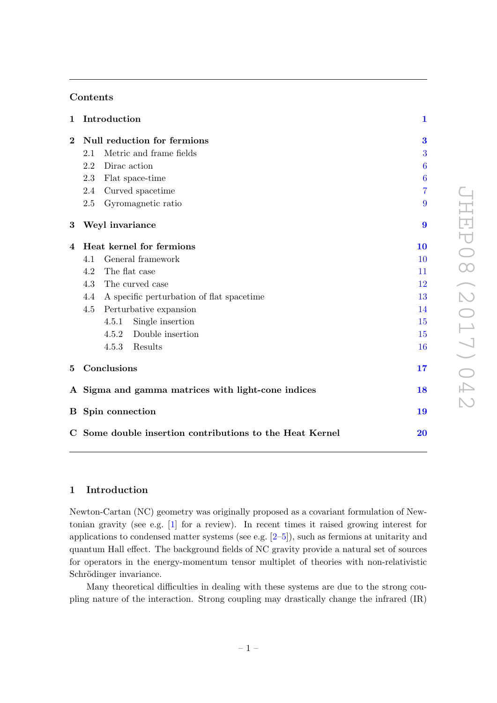# Contents

| $\mathbf{1}$     |                                                    | Introduction                                             | $\mathbf 1$      |
|------------------|----------------------------------------------------|----------------------------------------------------------|------------------|
| $\bf{2}$         | Null reduction for fermions                        |                                                          | $\bf{3}$         |
|                  | 2.1                                                | Metric and frame fields                                  | 3                |
|                  | 2.2                                                | Dirac action                                             | 6                |
|                  | 2.3                                                | Flat space-time                                          | $\boldsymbol{6}$ |
|                  | 2.4                                                | Curved spacetime                                         | 7                |
|                  | 2.5                                                | Gyromagnetic ratio                                       | 9                |
| $\boldsymbol{3}$ |                                                    | Weyl invariance                                          | $\boldsymbol{9}$ |
| 4                | Heat kernel for fermions                           |                                                          | 10               |
|                  | 4.1                                                | General framework                                        | 10               |
|                  | The flat case<br>4.2                               |                                                          | 11               |
|                  | 4.3<br>The curved case                             |                                                          | 12               |
|                  | 4.4<br>A specific perturbation of flat spacetime   |                                                          | 13               |
|                  | 4.5<br>Perturbative expansion                      |                                                          | 14               |
|                  |                                                    | 4.5.1<br>Single insertion                                | 15               |
|                  |                                                    | 4.5.2 Double insertion                                   | 15               |
|                  |                                                    | 4.5.3 Results                                            | 16               |
| 5                | Conclusions                                        |                                                          | 17<br>18         |
|                  | A Sigma and gamma matrices with light-cone indices |                                                          |                  |
|                  | <b>B</b> Spin connection                           |                                                          | 19               |
|                  |                                                    | C Some double insertion contributions to the Heat Kernel | 20               |

# <span id="page-1-0"></span>1 Introduction

Newton-Cartan (NC) geometry was originally proposed as a covariant formulation of Newtonian gravity (see e.g. [\[1\]](#page-21-0) for a review). In recent times it raised growing interest for applications to condensed matter systems (see e.g. [\[2–](#page-22-0)[5\]](#page-22-1)), such as fermions at unitarity and quantum Hall effect. The background fields of NC gravity provide a natural set of sources for operators in the energy-momentum tensor multiplet of theories with non-relativistic Schrödinger invariance.

Many theoretical difficulties in dealing with these systems are due to the strong coupling nature of the interaction. Strong coupling may drastically change the infrared (IR)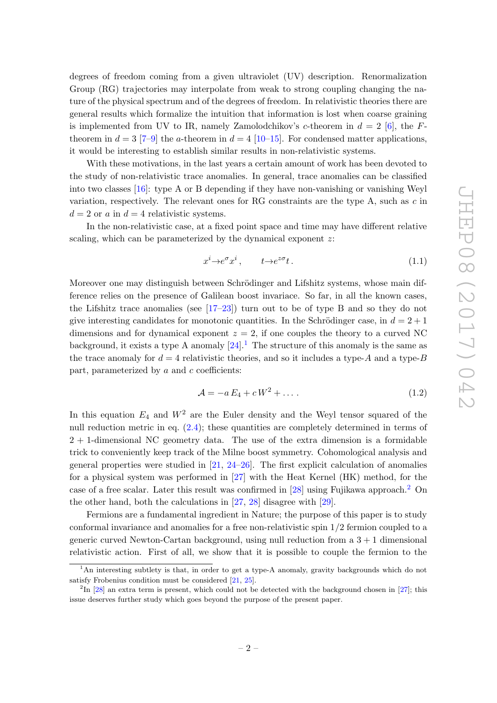degrees of freedom coming from a given ultraviolet (UV) description. Renormalization Group (RG) trajectories may interpolate from weak to strong coupling changing the nature of the physical spectrum and of the degrees of freedom. In relativistic theories there are general results which formalize the intuition that information is lost when coarse graining is implemented from UV to IR, namely Zamolodchikov's c-theorem in  $d = 2$  [\[6\]](#page-22-2), the Ftheorem in  $d = 3$  [\[7](#page-22-3)[–9\]](#page-22-4) the a-theorem in  $d = 4$  [\[10–](#page-22-5)[15\]](#page-22-6). For condensed matter applications, it would be interesting to establish similar results in non-relativistic systems.

With these motivations, in the last years a certain amount of work has been devoted to the study of non-relativistic trace anomalies. In general, trace anomalies can be classified into two classes  $[16]$ : type A or B depending if they have non-vanishing or vanishing Weyl variation, respectively. The relevant ones for RG constraints are the type A, such as  $c$  in  $d = 2$  or a in  $d = 4$  relativistic systems.

In the non-relativistic case, at a fixed point space and time may have different relative scaling, which can be parameterized by the dynamical exponent z:

$$
x^i \to e^{\sigma} x^i, \qquad t \to e^{z\sigma} t. \tag{1.1}
$$

Moreover one may distinguish between Schrödinger and Lifshitz systems, whose main difference relies on the presence of Galilean boost invariace. So far, in all the known cases, the Lifshitz trace anomalies (see [\[17–](#page-22-8)[23\]](#page-23-0)) turn out to be of type B and so they do not give interesting candidates for monotonic quantities. In the Schrödinger case, in  $d = 2 + 1$ dimensions and for dynamical exponent  $z = 2$ , if one couples the theory to a curved NC background, it exists a type A anomaly  $[24]$ .<sup>[1](#page-2-0)</sup> The structure of this anomaly is the same as the trace anomaly for  $d = 4$  relativistic theories, and so it includes a type-A and a type-B part, parameterized by  $a$  and  $c$  coefficients:

$$
\mathcal{A} = -a E_4 + cW^2 + \dots \tag{1.2}
$$

In this equation  $E_4$  and  $W^2$  are the Euler density and the Weyl tensor squared of the null reduction metric in eq. [\(2.4\)](#page-4-0); these quantities are completely determined in terms of 2 + 1-dimensional NC geometry data. The use of the extra dimension is a formidable trick to conveniently keep track of the Milne boost symmetry. Cohomological analysis and general properties were studied in  $[21, 24-26]$  $[21, 24-26]$  $[21, 24-26]$ . The first explicit calculation of anomalies for a physical system was performed in [\[27\]](#page-23-3) with the Heat Kernel (HK) method, for the case of a free scalar. Later this result was confirmed in [\[28\]](#page-23-4) using Fujikawa approach.[2](#page-2-1) On the other hand, both the calculations in [\[27,](#page-23-3) [28\]](#page-23-4) disagree with [\[29\]](#page-23-5).

Fermions are a fundamental ingredient in Nature; the purpose of this paper is to study conformal invariance and anomalies for a free non-relativistic spin 1/2 fermion coupled to a generic curved Newton-Cartan background, using null reduction from a  $3 + 1$  dimensional relativistic action. First of all, we show that it is possible to couple the fermion to the

<span id="page-2-0"></span><sup>&</sup>lt;sup>1</sup>An interesting subtlety is that, in order to get a type-A anomaly, gravity backgrounds which do not satisfy Frobenius condition must be considered [\[21,](#page-22-9) [25\]](#page-23-6).

<span id="page-2-1"></span><sup>&</sup>lt;sup>2</sup>In [\[28\]](#page-23-4) an extra term is present, which could not be detected with the background chosen in [\[27\]](#page-23-3); this issue deserves further study which goes beyond the purpose of the present paper.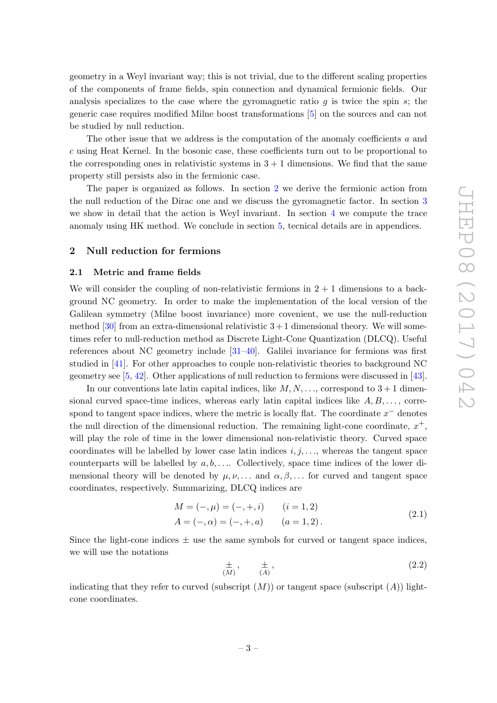geometry in a Weyl invariant way; this is not trivial, due to the different scaling properties of the components of frame fields, spin connection and dynamical fermionic fields. Our analysis specializes to the case where the gyromagnetic ratio  $g$  is twice the spin  $s$ ; the generic case requires modified Milne boost transformations [\[5\]](#page-22-1) on the sources and can not be studied by null reduction.

The other issue that we address is the computation of the anomaly coefficients a and c using Heat Kernel. In the bosonic case, these coefficients turn out to be proportional to the corresponding ones in relativistic systems in  $3 + 1$  dimensions. We find that the same property still persists also in the fermionic case.

The paper is organized as follows. In section [2](#page-3-0) we derive the fermionic action from the null reduction of the Dirac one and we discuss the gyromagnetic factor. In section [3](#page-9-1) we show in detail that the action is Weyl invariant. In section [4](#page-10-0) we compute the trace anomaly using HK method. We conclude in section [5,](#page-17-0) tecnical details are in appendices.

# <span id="page-3-0"></span>2 Null reduction for fermions

#### <span id="page-3-1"></span>2.1 Metric and frame fields

We will consider the coupling of non-relativistic fermions in  $2 + 1$  dimensions to a background NC geometry. In order to make the implementation of the local version of the Galilean symmetry (Milne boost invariance) more covenient, we use the null-reduction method  $[30]$  from an extra-dimensional relativistic  $3+1$  dimensional theory. We will sometimes refer to null-reduction method as Discrete Light-Cone Quantization (DLCQ). Useful references about NC geometry include [\[31](#page-23-8)[–40\]](#page-23-9). Galilei invariance for fermions was first studied in [\[41\]](#page-23-10). For other approaches to couple non-relativistic theories to background NC geometry see [\[5,](#page-22-1) [42\]](#page-24-0). Other applications of null reduction to fermions were discussed in [\[43\]](#page-24-1).

In our conventions late latin capital indices, like  $M, N, \ldots$ , correspond to  $3+1$  dimensional curved space-time indices, whereas early latin capital indices like  $A, B, \ldots$ , correspond to tangent space indices, where the metric is locally flat. The coordinate  $x^-$  denotes the null direction of the dimensional reduction. The remaining light-cone coordinate,  $x^+$ , will play the role of time in the lower dimensional non-relativistic theory. Curved space coordinates will be labelled by lower case latin indices  $i, j, \ldots$ , whereas the tangent space counterparts will be labelled by  $a, b, \ldots$ . Collectively, space time indices of the lower dimensional theory will be denoted by  $\mu, \nu, \ldots$  and  $\alpha, \beta, \ldots$  for curved and tangent space coordinates, respectively. Summarizing, DLCQ indices are

$$
M = (-, \mu) = (-, +, i) \qquad (i = 1, 2)
$$
  
\n
$$
A = (-, \alpha) = (-, +, a) \qquad (a = 1, 2).
$$
\n(2.1)

Since the light-cone indices  $\pm$  use the same symbols for curved or tangent space indices, we will use the notations

$$
\frac{\pm}{(M)}, \qquad \frac{\pm}{(A)}, \tag{2.2}
$$

indicating that they refer to curved (subscript  $(M)$ ) or tangent space (subscript  $(A)$ ) lightcone coordinates.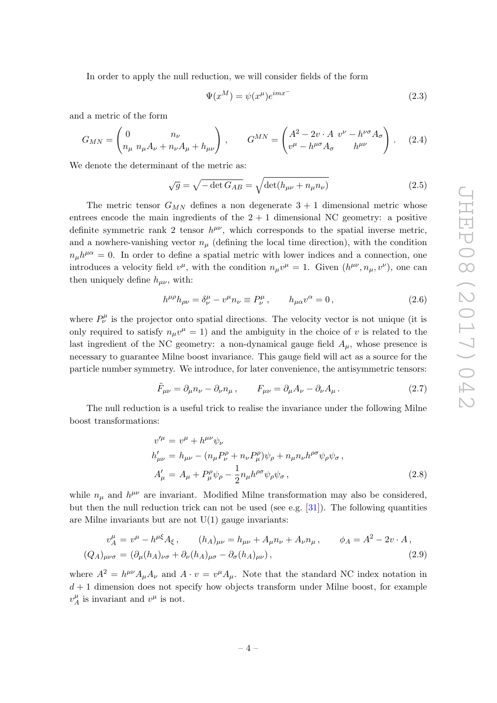In order to apply the null reduction, we will consider fields of the form

$$
\Psi(x^M) = \psi(x^\mu)e^{imx^-} \tag{2.3}
$$

and a metric of the form

<span id="page-4-0"></span>
$$
G_{MN} = \begin{pmatrix} 0 & n_{\nu} \\ n_{\mu} \; n_{\mu} A_{\nu} + n_{\nu} A_{\mu} + h_{\mu\nu} \end{pmatrix} , \qquad G^{MN} = \begin{pmatrix} A^2 - 2v \cdot A & v^{\nu} - h^{\nu\sigma} A_{\sigma} \\ v^{\mu} - h^{\mu\sigma} A_{\sigma} & h^{\mu\nu} \end{pmatrix} . \tag{2.4}
$$

We denote the determinant of the metric as:

$$
\sqrt{g} = \sqrt{-\det G_{AB}} = \sqrt{\det(h_{\mu\nu} + n_{\mu}n_{\nu})}
$$
\n(2.5)

The metric tensor  $G_{MN}$  defines a non degenerate  $3 + 1$  dimensional metric whose entrees encode the main ingredients of the  $2 + 1$  dimensional NC geometry: a positive definite symmetric rank 2 tensor  $h^{\mu\nu}$ , which corresponds to the spatial inverse metric, and a nowhere-vanishing vector  $n_{\mu}$  (defining the local time direction), with the condition  $n_{\mu}h^{\mu\alpha} = 0$ . In order to define a spatial metric with lower indices and a connection, one introduces a velocity field  $v^{\mu}$ , with the condition  $n_{\mu}v^{\mu} = 1$ . Given  $(h^{\mu\nu}, n_{\mu}, v^{\nu})$ , one can then uniquely define  $h_{\mu\nu}$ , with:

$$
h^{\mu\rho}h_{\rho\nu} = \delta^{\mu}_{\nu} - v^{\mu}n_{\nu} \equiv P^{\mu}_{\nu}, \qquad h_{\mu\alpha}v^{\alpha} = 0, \tag{2.6}
$$

where  $P^{\mu}_{\nu}$  is the projector onto spatial directions. The velocity vector is not unique (it is only required to satisfy  $n_{\mu}v^{\mu} = 1$  and the ambiguity in the choice of v is related to the last ingredient of the NC geometry: a non-dynamical gauge field  $A_{\mu}$ , whose presence is necessary to guarantee Milne boost invariance. This gauge field will act as a source for the particle number symmetry. We introduce, for later convenience, the antisymmetric tensors:

$$
\tilde{F}_{\mu\nu} = \partial_{\mu} n_{\nu} - \partial_{\nu} n_{\mu} , \qquad F_{\mu\nu} = \partial_{\mu} A_{\nu} - \partial_{\nu} A_{\mu} . \tag{2.7}
$$

The null reduction is a useful trick to realise the invariance under the following Milne boost transformations:

$$
v^{\prime \mu} = v^{\mu} + h^{\mu \nu} \psi_{\nu}
$$
  
\n
$$
h'_{\mu \nu} = h_{\mu \nu} - (n_{\mu} P^{\rho}_{\nu} + n_{\nu} P^{\rho}_{\mu}) \psi_{\rho} + n_{\mu} n_{\nu} h^{\rho \sigma} \psi_{\rho} \psi_{\sigma},
$$
  
\n
$$
A'_{\mu} = A_{\mu} + P^{\rho}_{\mu} \psi_{\rho} - \frac{1}{2} n_{\mu} h^{\rho \sigma} \psi_{\rho} \psi_{\sigma},
$$
\n(2.8)

while  $n_{\mu}$  and  $h^{\mu\nu}$  are invariant. Modified Milne transformation may also be considered, but then the null reduction trick can not be used (see e.g. [\[31\]](#page-23-8)). The following quantities are Milne invariants but are not  $U(1)$  gauge invariants:

$$
v_A^{\mu} = v^{\mu} - h^{\mu \xi} A_{\xi}, \qquad (h_A)_{\mu\nu} = h_{\mu\nu} + A_{\mu} n_{\nu} + A_{\nu} n_{\mu}, \qquad \phi_A = A^2 - 2v \cdot A,
$$
  

$$
(Q_A)_{\mu\nu\sigma} = (\partial_{\mu} (h_A)_{\nu\sigma} + \partial_{\nu} (h_A)_{\mu\sigma} - \partial_{\sigma} (h_A)_{\mu\nu}), \qquad (2.9)
$$

where  $A^2 = h^{\mu\nu} A_{\mu} A_{\nu}$  and  $A \cdot v = v^{\mu} A_{\mu}$ . Note that the standard NC index notation in  $d+1$  dimension does not specify how objects transform under Milne boost, for example  $v^{\mu}_A$  $_{A}^{\mu}$  is invariant and  $v^{\mu}$  is not.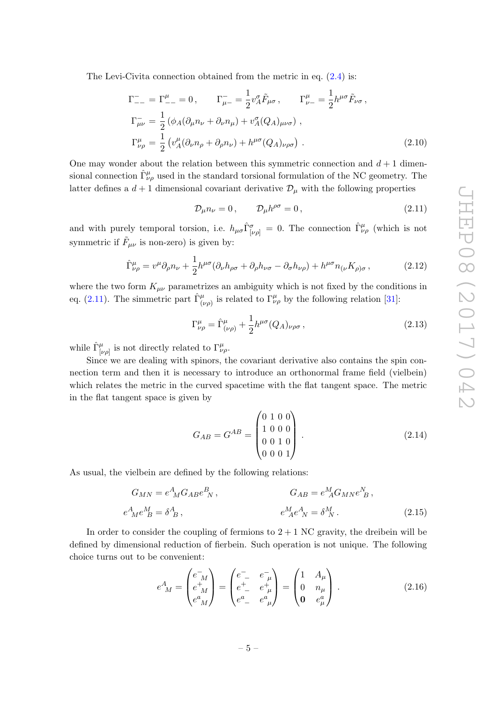The Levi-Civita connection obtained from the metric in eq. [\(2.4\)](#page-4-0) is:

$$
\Gamma_{--}^{-} = \Gamma_{--}^{\mu} = 0, \qquad \Gamma_{\mu-}^{-} = \frac{1}{2} v_A^{\sigma} \tilde{F}_{\mu\sigma}, \qquad \Gamma_{\nu-}^{\mu} = \frac{1}{2} h^{\mu\sigma} \tilde{F}_{\nu\sigma},
$$
\n
$$
\Gamma_{\mu\nu}^{-} = \frac{1}{2} \left( \phi_A (\partial_{\mu} n_{\nu} + \partial_{\nu} n_{\mu}) + v_A^{\sigma} (Q_A)_{\mu\nu\sigma} \right),
$$
\n
$$
\Gamma_{\nu\rho}^{\mu} = \frac{1}{2} \left( v_A^{\mu} (\partial_{\nu} n_{\rho} + \partial_{\rho} n_{\nu}) + h^{\mu\sigma} (Q_A)_{\nu\rho\sigma} \right).
$$
\n(2.10)

One may wonder about the relation between this symmetric connection and  $d+1$  dimensional connection  $\hat{\Gamma}^{\mu}_{\nu\rho}$  used in the standard torsional formulation of the NC geometry. The latter defines a  $d+1$  dimensional covariant derivative  $\mathcal{D}_{\mu}$  with the following properties

<span id="page-5-0"></span>
$$
\mathcal{D}_{\mu} n_{\nu} = 0, \qquad \mathcal{D}_{\mu} h^{\rho \sigma} = 0, \tag{2.11}
$$

and with purely temporal torsion, i.e.  $h_{\mu\sigma}\hat{\Gamma}^{\sigma}_{[\nu\rho]} = 0$ . The connection  $\hat{\Gamma}^{\mu}_{\nu\rho}$  (which is not symmetric if  $\tilde{F}_{\mu\nu}$  is non-zero) is given by:

$$
\hat{\Gamma}^{\mu}_{\nu\rho} = v^{\mu}\partial_{\rho}n_{\nu} + \frac{1}{2}h^{\mu\sigma}(\partial_{\nu}h_{\rho\sigma} + \partial_{\rho}h_{\nu\sigma} - \partial_{\sigma}h_{\nu\rho}) + h^{\mu\sigma}n_{(\nu}K_{\rho)\sigma},\tag{2.12}
$$

where the two form  $K_{\mu\nu}$  parametrizes an ambiguity which is not fixed by the conditions in eq. [\(2.11\)](#page-5-0). The simmetric part  $\hat{\Gamma}^{\mu}_{(\nu\rho)}$  is related to  $\Gamma^{\mu}_{\nu\rho}$  by the following relation [\[31\]](#page-23-8):

$$
\Gamma^{\mu}_{\nu\rho} = \hat{\Gamma}^{\mu}_{(\nu\rho)} + \frac{1}{2}h^{\mu\sigma}(Q_A)_{\nu\rho\sigma},\qquad(2.13)
$$

while  $\hat{\Gamma}^{\mu}_{[\nu\rho]}$  is not directly related to  $\Gamma^{\mu}_{\nu\rho}$ .

Since we are dealing with spinors, the covariant derivative also contains the spin connection term and then it is necessary to introduce an orthonormal frame field (vielbein) which relates the metric in the curved spacetime with the flat tangent space. The metric in the flat tangent space is given by

$$
G_{AB} = G^{AB} = \begin{pmatrix} 0 & 1 & 0 & 0 \\ 1 & 0 & 0 & 0 \\ 0 & 0 & 1 & 0 \\ 0 & 0 & 0 & 1 \end{pmatrix} . \tag{2.14}
$$

As usual, the vielbein are defined by the following relations:

$$
G_{MN} = e^A{}_M G_{AB} e^B{}_N, \qquad G_{AB} = e^M{}_A G_{MN} e^N{}_B,
$$
  
\n
$$
e^A{}_M e^M{}_B = \delta^A{}_B, \qquad e^M{}_A e^A{}_N = \delta^M{}_N.
$$
\n(2.15)

In order to consider the coupling of fermions to  $2 + 1$  NC gravity, the dreibein will be defined by dimensional reduction of fierbein. Such operation is not unique. The following choice turns out to be convenient:

$$
e^{A}_{\ M} = \begin{pmatrix} e^{-}_{M} \\ e^{+}_{M} \\ e^{a}_{M} \end{pmatrix} = \begin{pmatrix} e^{-}_{-} & e^{-}_{\mu} \\ e^{+}_{-} & e^{+}_{\mu} \\ e^{a}_{-} & e^{a}_{\mu} \end{pmatrix} = \begin{pmatrix} 1 & A_{\mu} \\ 0 & n_{\mu} \\ 0 & e^{a}_{\mu} \end{pmatrix} . \tag{2.16}
$$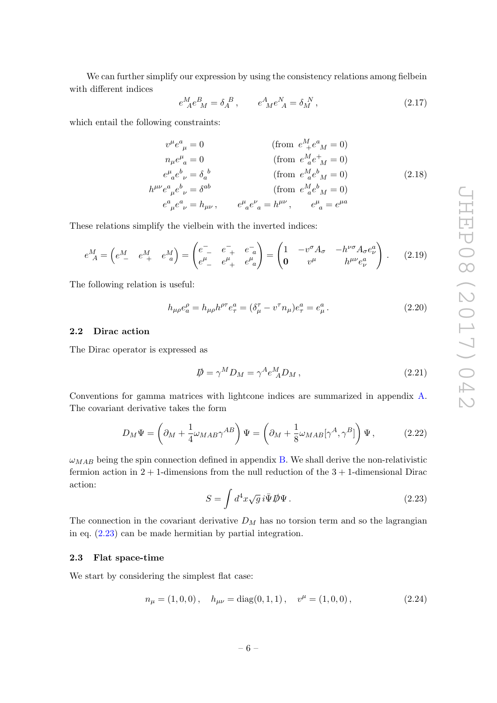We can further simplify our expression by using the consistency relations among fielbein with different indices

$$
e^{M}_{ A} e^{B}_{ M} = \delta_{A}^{ B} , \qquad e^{A}_{ M} e^{N}_{ A} = \delta_{M}^{ N} , \qquad (2.17)
$$

which entail the following constraints:

$$
v^{\mu}e^{a}_{\mu} = 0 \qquad \qquad (\text{from } e^{M}_{+}e^{a}_{M} = 0)
$$
  
\n
$$
n_{\mu}e^{\mu}_{a} = 0 \qquad \qquad (\text{from } e^{M}_{-}e^{a}_{M} = 0)
$$
  
\n
$$
e^{\mu}_{a}e^{b}_{\nu} = \delta_{a}{}^{b} \qquad \qquad (\text{from } e^{M}_{-}e^{b}_{M} = 0)
$$
  
\n
$$
h^{\mu\nu}e^{a}_{\mu}e^{b}_{\nu} = \delta^{ab} \qquad \qquad (\text{from } e^{M}_{-}e^{b}_{M} = 0)
$$
  
\n
$$
e^{a}_{\mu}e^{a}_{\nu} = h_{\mu\nu}, \qquad e^{\mu}_{a}e^{\nu}_{a} = h^{\mu\nu}, \qquad e^{\mu}_{a} = e^{\mu a} \qquad \qquad (2.18)
$$

These relations simplify the vielbein with the inverted indices:

$$
e^{M}_{ A} = \begin{pmatrix} e^{M} & e^{M}_{+} & e^{M}_{a} \end{pmatrix} = \begin{pmatrix} e^{-} - e^{-} + e^{-} - e^{-} \\ e^{\mu} - e^{\mu} + e^{\mu} - e^{\mu} - e^{\mu} - e^{\mu} - e^{\mu} - e^{\mu} - e^{\mu} - e^{\mu} - e^{\mu} - e^{\mu} - e^{\mu} - e^{\mu} - e^{\mu} - e^{\mu} - e^{\mu} - e^{\mu} - e^{\mu} - e^{\mu} - e^{\mu} - e^{\mu} - e^{\mu} - e^{\mu} - e^{\mu} - e^{\mu} - e^{\mu} - e^{\mu} - e^{\mu} - e^{\mu} - e^{\mu} - e^{\mu} - e^{\mu} - e^{\mu} - e^{\mu} - e^{\mu} - e^{\mu} - e^{\mu} - e^{\mu} - e^{\mu} - e^{\mu} - e^{\mu} - e^{\mu} - e^{\mu} - e^{\mu} - e^{\mu} - e^{\mu} - e^{\mu} - e^{\mu} - e^{\mu} - e^{\mu} - e^{\mu} - e^{\mu} - e^{\mu} - e^{\mu} - e^{\mu} - e^{\mu} - e^{\mu} - e^{\mu} - e^{\mu} - e^{\mu} - e^{\mu} - e^{\mu} - e^{\mu} - e^{\mu} - e^{\mu} - e^{\mu} - e^{\mu} - e^{\mu} - e^{\mu} - e^{\mu} - e^{\mu} - e^{\mu} - e^{\mu} - e^{\mu} - e^{\mu} - e^{\mu} - e^{\mu} - e^{\mu} - e^{\mu} - e^{\mu} - e^{\mu} - e^{\mu} - e^{\mu} - e^{\mu} - e^{\mu} - e^{\mu} - e^{\mu} - e^{\mu} - e^{\mu} - e^{\mu} - e^{\mu} - e^{\mu} - e^{\mu} - e^{\mu} - e^{\mu} - e^{\mu} - e^{\mu} - e^{\mu} - e^{\mu} - e^{\mu} - e^{\mu} - e^{\mu} - e^{\mu} - e^{\mu} - e^{\mu} - e^{\mu} - e^{\mu} - e^{\mu} - e^{\mu} - e^{\mu} - e^{\mu} - e^{\mu} - e^{\mu} - e^{\mu} - e^{\mu} - e^{\
$$

The following relation is useful:

$$
h_{\mu\rho}e_a^{\rho} = h_{\mu\rho}h^{\rho\tau}e_\tau^a = (\delta_\mu^\tau - v^\tau n_\mu)e_\tau^a = e_\mu^a.
$$
 (2.20)

#### <span id="page-6-0"></span>2.2 Dirac action

The Dirac operator is expressed as

$$
\mathcal{D} = \gamma^M D_M = \gamma^A e^M_A D_M \,, \tag{2.21}
$$

Conventions for gamma matrices with lightcone indices are summarized in appendix [A.](#page-18-0) The covariant derivative takes the form

$$
D_M \Psi = \left(\partial_M + \frac{1}{4} \omega_{MAB} \gamma^{AB}\right) \Psi = \left(\partial_M + \frac{1}{8} \omega_{MAB} [\gamma^A, \gamma^B]\right) \Psi, \tag{2.22}
$$

 $\omega_{MAB}$  being the spin connection defined in appendix [B.](#page-19-0) We shall derive the non-relativistic fermion action in  $2 + 1$ -dimensions from the null reduction of the  $3 + 1$ -dimensional Dirac action:

<span id="page-6-2"></span>
$$
S = \int d^4x \sqrt{g} \, i \bar{\Psi} \, \not{\!\!\! D} \Psi \,. \tag{2.23}
$$

The connection in the covariant derivative  $D_M$  has no torsion term and so the lagrangian in eq. [\(2.23\)](#page-6-2) can be made hermitian by partial integration.

## <span id="page-6-1"></span>2.3 Flat space-time

We start by considering the simplest flat case:

<span id="page-6-3"></span>
$$
n_{\mu} = (1, 0, 0), \quad h_{\mu\nu} = \text{diag}(0, 1, 1), \quad v^{\mu} = (1, 0, 0), \tag{2.24}
$$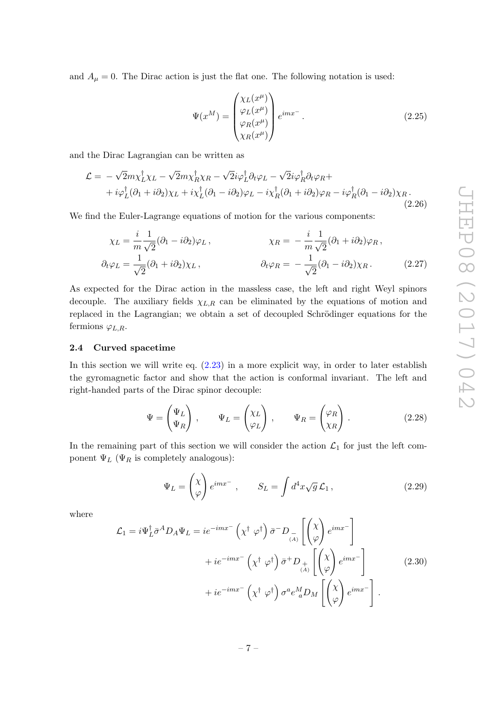and  $A_{\mu} = 0$ . The Dirac action is just the flat one. The following notation is used:

<span id="page-7-1"></span>
$$
\Psi(x^M) = \begin{pmatrix} \chi_L(x^\mu) \\ \varphi_L(x^\mu) \\ \varphi_R(x^\mu) \\ \chi_R(x^\mu) \end{pmatrix} e^{imx^-}.
$$
\n(2.25)

and the Dirac Lagrangian can be written as

$$
\mathcal{L} = -\sqrt{2}m\chi_L^{\dagger}\chi_L - \sqrt{2}m\chi_R^{\dagger}\chi_R - \sqrt{2}i\varphi_L^{\dagger}\partial_t\varphi_L - \sqrt{2}i\varphi_R^{\dagger}\partial_t\varphi_R + + i\varphi_L^{\dagger}(\partial_1 + i\partial_2)\chi_L + i\chi_L^{\dagger}(\partial_1 - i\partial_2)\varphi_L - i\chi_R^{\dagger}(\partial_1 + i\partial_2)\varphi_R - i\varphi_R^{\dagger}(\partial_1 - i\partial_2)\chi_R.
$$
\n(2.26)

We find the Euler-Lagrange equations of motion for the various components:

$$
\chi_L = \frac{i}{m} \frac{1}{\sqrt{2}} (\partial_1 - i \partial_2) \varphi_L, \qquad \chi_R = -\frac{i}{m} \frac{1}{\sqrt{2}} (\partial_1 + i \partial_2) \varphi_R,
$$
  

$$
\partial_t \varphi_L = \frac{1}{\sqrt{2}} (\partial_1 + i \partial_2) \chi_L, \qquad \partial_t \varphi_R = -\frac{1}{\sqrt{2}} (\partial_1 - i \partial_2) \chi_R.
$$
 (2.27)

As expected for the Dirac action in the massless case, the left and right Weyl spinors decouple. The auxiliary fields  $\chi_{L,R}$  can be eliminated by the equations of motion and replaced in the Lagrangian; we obtain a set of decoupled Schrödinger equations for the fermions  $\varphi_{L,R}$ .

## <span id="page-7-0"></span>2.4 Curved spacetime

In this section we will write eq. [\(2.23\)](#page-6-2) in a more explicit way, in order to later establish the gyromagnetic factor and show that the action is conformal invariant. The left and right-handed parts of the Dirac spinor decouple:

$$
\Psi = \begin{pmatrix} \Psi_L \\ \Psi_R \end{pmatrix}, \qquad \Psi_L = \begin{pmatrix} \chi_L \\ \varphi_L \end{pmatrix}, \qquad \Psi_R = \begin{pmatrix} \varphi_R \\ \chi_R \end{pmatrix}.
$$
 (2.28)

In the remaining part of this section we will consider the action  $\mathcal{L}_1$  for just the left component  $\Psi_L$  ( $\Psi_R$  is completely analogous):

$$
\Psi_L = \begin{pmatrix} \chi \\ \varphi \end{pmatrix} e^{imx^-} , \qquad S_L = \int d^4x \sqrt{g} \mathcal{L}_1 , \qquad (2.29)
$$

where

$$
\mathcal{L}_{1} = i\Psi_{L}^{\dagger} \bar{\sigma}^{A} D_{A} \Psi_{L} = ie^{-imx^{-}} \left( \chi^{\dagger} \varphi^{\dagger} \right) \bar{\sigma}^{-} D_{\underset{(A)}{-}} \left[ \begin{pmatrix} \chi \\ \varphi \end{pmatrix} e^{imx^{-}} \right] \n+ ie^{-imx^{-}} \left( \chi^{\dagger} \varphi^{\dagger} \right) \bar{\sigma}^{+} D_{\underset{(A)}{+}} \left[ \begin{pmatrix} \chi \\ \varphi \end{pmatrix} e^{imx^{-}} \right] \n+ ie^{-imx^{-}} \left( \chi^{\dagger} \varphi^{\dagger} \right) \sigma^{a} e^{M}_{a} D_{M} \left[ \begin{pmatrix} \chi \\ \varphi \end{pmatrix} e^{imx^{-}} \right].
$$
\n(2.30)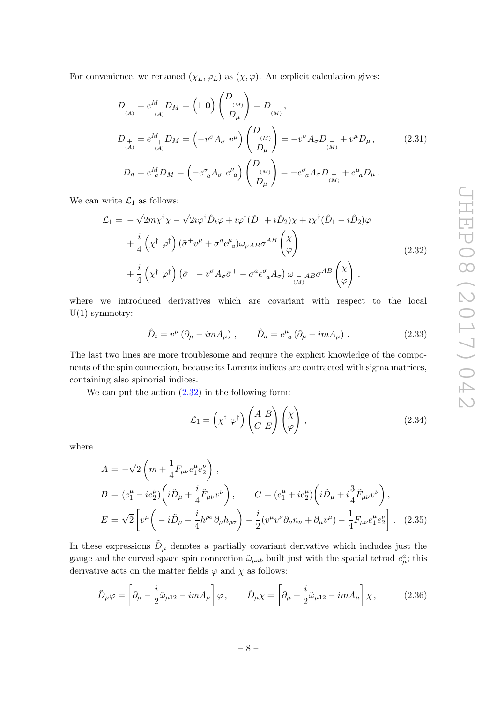For convenience, we renamed  $(\chi_L, \varphi_L)$  as  $(\chi, \varphi)$ . An explicit calculation gives:

$$
D_{\stackrel{-}{(A)}} = e^M_{\stackrel{-}{(A)}} D_M = \begin{pmatrix} 1 & \mathbf{0} \end{pmatrix} \begin{pmatrix} D_{\stackrel{-}{(M)}} \\ D_{\mu} \end{pmatrix} = D_{\stackrel{-}{(M)}},
$$
  
\n
$$
D_{\stackrel{+}{(A)}} = e^M_{\stackrel{+}{(A)}} D_M = \begin{pmatrix} -v^{\sigma} A_{\sigma} & v^{\mu} \end{pmatrix} \begin{pmatrix} D_{\stackrel{-}{(M)}} \\ D_{\mu} \end{pmatrix} = -v^{\sigma} A_{\sigma} D_{\stackrel{-}{(M)}} + v^{\mu} D_{\mu},
$$
  
\n
$$
D_a = e^M_{\stackrel{-}{a}} D_M = \begin{pmatrix} -e^{\sigma}_{\stackrel{-}{a}} A_{\sigma} & e^{\mu}_{\stackrel{-}{a}} \end{pmatrix} \begin{pmatrix} D_{\stackrel{-}{(M)}} \\ D_{\mu} \end{pmatrix} = -e^{\sigma}_{\stackrel{-}{a}} A_{\sigma} D_{\stackrel{-}{(M)}} + e^{\mu}_{\stackrel{-}{a}} D_{\mu}.
$$
\n(2.31)

We can write  $\mathcal{L}_1$  as follows:

<span id="page-8-0"></span>
$$
\mathcal{L}_{1} = -\sqrt{2}m\chi^{\dagger}\chi - \sqrt{2}i\varphi^{\dagger}\hat{D}_{t}\varphi + i\varphi^{\dagger}(\hat{D}_{1} + i\hat{D}_{2})\chi + i\chi^{\dagger}(\hat{D}_{1} - i\hat{D}_{2})\varphi \n+ \frac{i}{4}\left(\chi^{\dagger} \varphi^{\dagger}\right)(\bar{\sigma}^{+}\nu^{\mu} + \sigma^{a}e^{\mu}_{a})\omega_{\mu AB}\sigma^{AB}\begin{pmatrix} \chi \\ \varphi \end{pmatrix} \n+ \frac{i}{4}\left(\chi^{\dagger} \varphi^{\dagger}\right)(\bar{\sigma}^{-} - \nu^{\sigma}A_{\sigma}\bar{\sigma}^{+} - \sigma^{a}e^{\sigma}_{a}A_{\sigma})\omega_{\mu AB}\sigma^{AB}\begin{pmatrix} \chi \\ \varphi \end{pmatrix},
$$
\n(2.32)

where we introduced derivatives which are covariant with respect to the local  $U(1)$  symmetry:

$$
\hat{D}_t = v^{\mu} \left( \partial_{\mu} - imA_{\mu} \right) , \qquad \hat{D}_a = e^{\mu}{}_{a} \left( \partial_{\mu} - imA_{\mu} \right) . \tag{2.33}
$$

The last two lines are more troublesome and require the explicit knowledge of the components of the spin connection, because its Lorentz indices are contracted with sigma matrices, containing also spinorial indices.

We can put the action  $(2.32)$  in the following form:

<span id="page-8-1"></span>
$$
\mathcal{L}_1 = \left(\chi^{\dagger} \varphi^{\dagger}\right) \begin{pmatrix} A & B \\ C & E \end{pmatrix} \begin{pmatrix} \chi \\ \varphi \end{pmatrix},\tag{2.34}
$$

where

$$
A = -\sqrt{2} \left( m + \frac{1}{4} \tilde{F}_{\mu\nu} e_1^{\mu} e_2^{\nu} \right) ,
$$
  
\n
$$
B = (e_1^{\mu} - ie_2^{\mu}) \left( i \tilde{D}_{\mu} + \frac{i}{4} \tilde{F}_{\mu\nu} v^{\nu} \right) , \qquad C = (e_1^{\mu} + ie_2^{\mu}) \left( i \tilde{D}_{\mu} + i \frac{3}{4} \tilde{F}_{\mu\nu} v^{\nu} \right) ,
$$
  
\n
$$
E = \sqrt{2} \left[ v^{\mu} \left( -i \tilde{D}_{\mu} - \frac{i}{4} h^{\rho \sigma} \partial_{\mu} h_{\rho \sigma} \right) - \frac{i}{2} (v^{\mu} v^{\nu} \partial_{\mu} n_{\nu} + \partial_{\mu} v^{\mu}) - \frac{1}{4} F_{\mu\nu} e_1^{\mu} e_2^{\nu} \right] .
$$
 (2.35)

In these expressions  $\tilde{D}_{\mu}$  denotes a partially covariant derivative which includes just the gauge and the curved space spin connection  $\tilde{\omega}_{\mu ab}$  built just with the spatial tetrad  $e^a_\mu$ ; this derivative acts on the matter fields  $\varphi$  and  $\chi$  as follows:

$$
\tilde{D}_{\mu}\varphi = \left[\partial_{\mu} - \frac{i}{2}\tilde{\omega}_{\mu 12} - imA_{\mu}\right]\varphi, \qquad \tilde{D}_{\mu}\chi = \left[\partial_{\mu} + \frac{i}{2}\tilde{\omega}_{\mu 12} - imA_{\mu}\right]\chi, \tag{2.36}
$$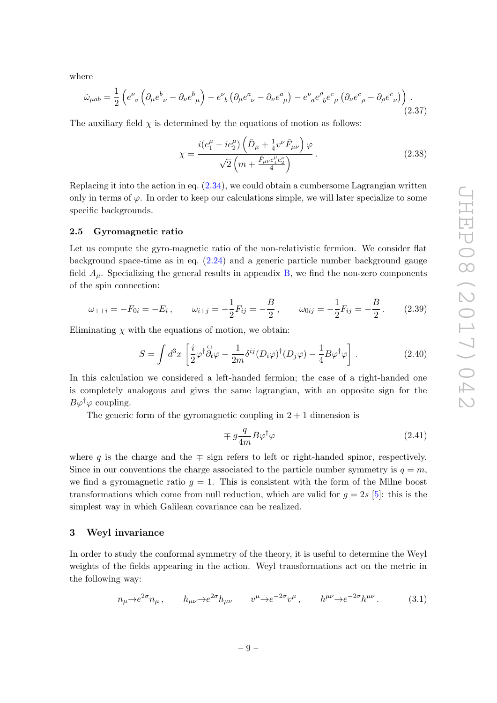where

$$
\tilde{\omega}_{\mu ab} = \frac{1}{2} \left( e^{\nu}{}_{a} \left( \partial_{\mu} e^{b}{}_{\nu} - \partial_{\nu} e^{b}{}_{\mu} \right) - e^{\nu}{}_{b} \left( \partial_{\mu} e^{a}{}_{\nu} - \partial_{\nu} e^{a}{}_{\mu} \right) - e^{\nu}{}_{a} e^{\rho}{}_{b} e^{c}{}_{\mu} \left( \partial_{\nu} e^{c}{}_{\rho} - \partial_{\rho} e^{c}{}_{\nu} \right) \right) . \tag{2.37}
$$

The auxiliary field  $\chi$  is determined by the equations of motion as follows:

<span id="page-9-2"></span>
$$
\chi = \frac{i(e_1^{\mu} - ie_2^{\mu})\left(\tilde{D}_{\mu} + \frac{1}{4}v^{\nu}\tilde{F}_{\mu\nu}\right)\varphi}{\sqrt{2}\left(m + \frac{\tilde{F}_{\mu\nu}e_1^{\mu}e_2^{\nu}}{4}\right)}.
$$
\n(2.38)

Replacing it into the action in eq. [\(2.34\)](#page-8-1), we could obtain a cumbersome Lagrangian written only in terms of  $\varphi$ . In order to keep our calculations simple, we will later specialize to some specific backgrounds.

#### <span id="page-9-0"></span>2.5 Gyromagnetic ratio

Let us compute the gyro-magnetic ratio of the non-relativistic fermion. We consider flat background space-time as in eq.  $(2.24)$  and a generic particle number background gauge field  $A_{\mu}$ . Specializing the general results in appendix [B,](#page-19-0) we find the non-zero components of the spin connection:

$$
\omega_{++i} = -F_{0i} = -E_i, \qquad \omega_{i+j} = -\frac{1}{2}F_{ij} = -\frac{B}{2}, \qquad \omega_{0ij} = -\frac{1}{2}F_{ij} = -\frac{B}{2}.
$$
 (2.39)

Eliminating  $\chi$  with the equations of motion, we obtain:

$$
S = \int d^3x \left[ \frac{i}{2} \varphi^\dagger \overleftrightarrow{\partial_t} \varphi - \frac{1}{2m} \delta^{ij} (D_i \varphi)^\dagger (D_j \varphi) - \frac{1}{4} B \varphi^\dagger \varphi \right]. \tag{2.40}
$$

In this calculation we considered a left-handed fermion; the case of a right-handed one is completely analogous and gives the same lagrangian, with an opposite sign for the  $B\varphi^{\dagger}\varphi$  coupling.

The generic form of the gyromagnetic coupling in  $2 + 1$  dimension is

$$
\mp g \frac{q}{4m} B \varphi^{\dagger} \varphi \tag{2.41}
$$

where q is the charge and the  $\mp$  sign refers to left or right-handed spinor, respectively. Since in our conventions the charge associated to the particle number symmetry is  $q = m$ , we find a gyromagnetic ratio  $g = 1$ . This is consistent with the form of the Milne boost transformations which come from null reduction, which are valid for  $g = 2s$  [\[5\]](#page-22-1): this is the simplest way in which Galilean covariance can be realized.

#### <span id="page-9-1"></span>3 Weyl invariance

In order to study the conformal symmetry of the theory, it is useful to determine the Weyl weights of the fields appearing in the action. Weyl transformations act on the metric in the following way:

$$
n_{\mu} \to e^{2\sigma} n_{\mu} , \qquad h_{\mu\nu} \to e^{2\sigma} h_{\mu\nu} \qquad v^{\mu} \to e^{-2\sigma} v^{\mu} , \qquad h^{\mu\nu} \to e^{-2\sigma} h^{\mu\nu} . \tag{3.1}
$$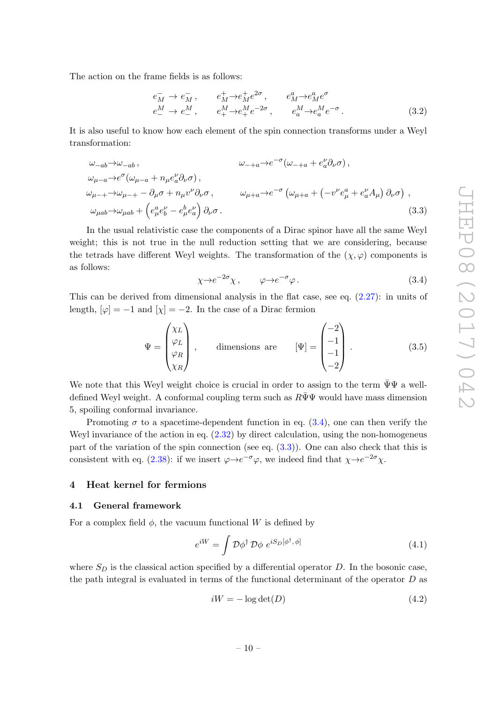The action on the frame fields is as follows:

$$
e_M^-\to e_M^-, \qquad e_M^+\to e_M^+e^{2\sigma}, \qquad e_M^a\to e_M^a e^{\sigma}
$$
  
\n
$$
e_-^M\to e_-^M, \qquad e_+^M\to e_+^M e^{-2\sigma}, \qquad e_a^M\to e_a^M e^{-\sigma}.
$$
 (3.2)

It is also useful to know how each element of the spin connection transforms under a Weyl transformation:

$$
\omega_{-ab} \to \omega_{-ab},
$$
\n
$$
\omega_{-+a} \to e^{-\sigma} (\omega_{-+a} + e^{\nu}_{a} \partial_{\nu} \sigma),
$$
\n
$$
\omega_{\mu-a} \to e^{\sigma} (\omega_{\mu-a} + n_{\mu} e^{\nu}_{a} \partial_{\nu} \sigma),
$$
\n
$$
\omega_{\mu++} \to \omega_{\mu-+} - \partial_{\mu} \sigma + n_{\mu} v^{\nu} \partial_{\nu} \sigma,
$$
\n
$$
\omega_{\mu+a} \to e^{-\sigma} (\omega_{\mu+a} + (-v^{\nu} e^{a}_{\mu} + e^{\nu}_{a} A_{\mu}) \partial_{\nu} \sigma),
$$
\n
$$
\omega_{\mu ab} \to \omega_{\mu ab} + (e^{a}_{\mu} e^{b}_{b} - e^{b}_{\mu} e^{b}_{a}) \partial_{\nu} \sigma.
$$
\n(3.3)

In the usual relativistic case the components of a Dirac spinor have all the same Weyl weight; this is not true in the null reduction setting that we are considering, because the tetrads have different Weyl weights. The transformation of the  $(\chi, \varphi)$  components is as follows:

<span id="page-10-3"></span><span id="page-10-2"></span>
$$
\chi \to e^{-2\sigma} \chi \,, \qquad \varphi \to e^{-\sigma} \varphi \,. \tag{3.4}
$$

This can be derived from dimensional analysis in the flat case, see eq.  $(2.27)$ : in units of length,  $[\varphi] = -1$  and  $[\chi] = -2$ . In the case of a Dirac fermion

$$
\Psi = \begin{pmatrix} \chi_L \\ \varphi_L \\ \varphi_R \\ \chi_R \end{pmatrix}, \qquad \text{dimensions are} \qquad [\Psi] = \begin{pmatrix} -2 \\ -1 \\ -1 \\ -2 \end{pmatrix}. \tag{3.5}
$$

We note that this Weyl weight choice is crucial in order to assign to the term  $\bar{\Psi}\Psi$  a welldefined Weyl weight. A conformal coupling term such as  $R\Psi\Psi$  would have mass dimension 5, spoiling conformal invariance.

Promoting  $\sigma$  to a spacetime-dependent function in eq. [\(3.4\)](#page-10-2), one can then verify the Weyl invariance of the action in eq.  $(2.32)$  by direct calculation, using the non-homogeneus part of the variation of the spin connection (see eq. [\(3.3\)](#page-10-3)). One can also check that this is consistent with eq. [\(2.38\)](#page-9-2): if we insert  $\varphi \rightarrow e^{-\sigma} \varphi$ , we indeed find that  $\chi \rightarrow e^{-2\sigma} \chi$ .

# <span id="page-10-0"></span>4 Heat kernel for fermions

#### <span id="page-10-1"></span>4.1 General framework

For a complex field  $\phi$ , the vacuum functional W is defined by

$$
e^{iW} = \int \mathcal{D}\phi^{\dagger} \mathcal{D}\phi \ e^{iS_D[\phi^{\dagger}, \phi]} \tag{4.1}
$$

where  $S_D$  is the classical action specified by a differential operator D. In the bosonic case, the path integral is evaluated in terms of the functional determinant of the operator  $D$  as

<span id="page-10-4"></span>
$$
iW = -\log \det(D) \tag{4.2}
$$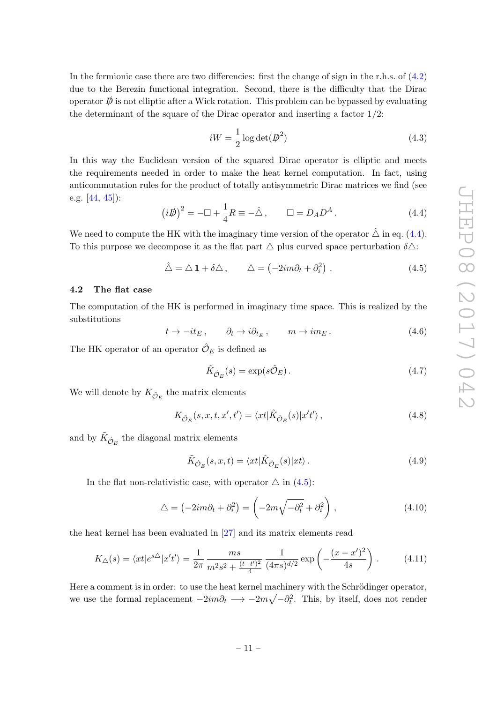In the fermionic case there are two differencies: first the change of sign in the r.h.s. of  $(4.2)$ due to the Berezin functional integration. Second, there is the difficulty that the Dirac operator  $\bar{\psi}$  is not elliptic after a Wick rotation. This problem can be bypassed by evaluating the determinant of the square of the Dirac operator and inserting a factor  $1/2$ :

$$
iW = \frac{1}{2}\log\det(\vec{p}^2)
$$
\n(4.3)

In this way the Euclidean version of the squared Dirac operator is elliptic and meets the requirements needed in order to make the heat kernel computation. In fact, using anticommutation rules for the product of totally antisymmetric Dirac matrices we find (see e.g. [\[44,](#page-24-2) [45\]](#page-24-3)):

<span id="page-11-1"></span>
$$
\left(i\rlap{\,/}D\right)^2 = -\Box + \frac{1}{4}R \equiv -\hat{\triangle} \,, \qquad \Box = D_A D^A \,. \tag{4.4}
$$

We need to compute the HK with the imaginary time version of the operator  $\hat{\triangle}$  in eq. [\(4.4\)](#page-11-1). To this purpose we decompose it as the flat part  $\triangle$  plus curved space perturbation  $\delta \triangle$ :

<span id="page-11-2"></span>
$$
\hat{\triangle} = \triangle \mathbf{1} + \delta \triangle , \qquad \triangle = (-2im\partial_t + \partial_i^2) . \tag{4.5}
$$

# <span id="page-11-0"></span>4.2 The flat case

The computation of the HK is performed in imaginary time space. This is realized by the substitutions

<span id="page-11-4"></span>
$$
t \to -it_E, \qquad \partial_t \to i\partial_{t_E}, \qquad m \to im_E. \tag{4.6}
$$

The HK operator of an operator  $\hat{\mathcal{O}}_E$  is defined as

$$
\hat{K}_{\hat{O}_E}(s) = \exp(s\hat{O}_E). \tag{4.7}
$$

We will denote by  $K_{\hat{\mathcal{O}}_E}$  the matrix elements

$$
K_{\hat{\mathcal{O}}_E}(s, x, t, x', t') = \langle xt | \hat{K}_{\hat{\mathcal{O}}_E}(s) | x't' \rangle, \qquad (4.8)
$$

and by  $\tilde{K}_{\hat{O}_E}$  the diagonal matrix elements

$$
\tilde{K}_{\hat{\mathcal{O}}_E}(s, x, t) = \langle xt | \hat{K}_{\hat{\mathcal{O}}_E}(s) | xt \rangle. \tag{4.9}
$$

In the flat non-relativistic case, with operator  $\triangle$  in [\(4.5\)](#page-11-2):

$$
\Delta = \left(-2im\partial_t + \partial_i^2\right) = \left(-2m\sqrt{-\partial_t^2} + \partial_i^2\right),\tag{4.10}
$$

the heat kernel has been evaluated in [\[27\]](#page-23-3) and its matrix elements read

<span id="page-11-3"></span>
$$
K_{\triangle}(s) = \langle xt | e^{s\triangle} | x't' \rangle = \frac{1}{2\pi} \frac{ms}{m^2 s^2 + \frac{(t-t')^2}{4}} \frac{1}{(4\pi s)^{d/2}} \exp\left(-\frac{(x-x')^2}{4s}\right). \tag{4.11}
$$

Here a comment is in order: to use the heat kernel machinery with the Schrödinger operator, we use the formal replacement  $-2im\partial_t \longrightarrow -2m\sqrt{-\partial_t^2}$ . This, by itself, does not render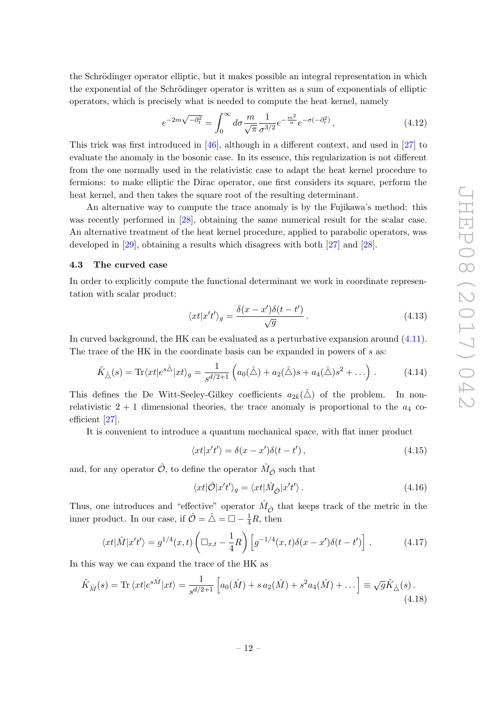the Schrödinger operator elliptic, but it makes possible an integral representation in which the exponential of the Schrödinger operator is written as a sum of exponentials of elliptic operators, which is precisely what is needed to compute the heat kernel, namely

$$
e^{-2m\sqrt{-\partial_t^2}} = \int_0^\infty d\sigma \frac{m}{\sqrt{\pi}} \frac{1}{\sigma^{3/2}} e^{-\frac{m^2}{\sigma}} e^{-\sigma(-\partial_t^2)}, \qquad (4.12)
$$

This trick was first introduced in [\[46\]](#page-24-4), although in a different context, and used in [\[27\]](#page-23-3) to evaluate the anomaly in the bosonic case. In its essence, this regularization is not different from the one normally used in the relativistic case to adapt the heat kernel procedure to fermions: to make elliptic the Dirac operator, one first considers its square, perform the heat kernel, and then takes the square root of the resulting determinant.

An alternative way to compute the trace anomaly is by the Fujikawa's method: this was recently performed in [\[28\]](#page-23-4), obtaining the same numerical result for the scalar case. An alternative treatment of the heat kernel procedure, applied to parabolic operators, was developed in [\[29\]](#page-23-5), obtaining a results which disagrees with both [\[27\]](#page-23-3) and [\[28\]](#page-23-4).

# <span id="page-12-0"></span>4.3 The curved case

In order to explicitly compute the functional determinant we work in coordinate representation with scalar product:

$$
\langle xt|x't'\rangle_g = \frac{\delta(x-x')\delta(t-t')}{\sqrt{g}}.
$$
\n(4.13)

In curved background, the HK can be evaluated as a perturbative expansion around [\(4.11\)](#page-11-3). The trace of the HK in the coordinate basis can be expanded in powers of  $s$  as:

$$
\tilde{K}_{\hat{\triangle}}(s) = \text{Tr}\langle xt | e^{s\hat{\triangle}} | xt \rangle_g = \frac{1}{s^{d/2+1}} \left( a_0(\hat{\triangle}) + a_2(\hat{\triangle})s + a_4(\hat{\triangle})s^2 + \ldots \right).
$$
 (4.14)

This defines the De Witt-Seeley-Gilkey coefficients  $a_{2k}(\hat{\triangle})$  of the problem. In nonrelativistic  $2 + 1$  dimensional theories, the trace anomaly is proportional to the  $a_4$  coefficient [\[27\]](#page-23-3).

It is convenient to introduce a quantum mechanical space, with flat inner product

$$
\langle xt|x't'\rangle = \delta(x - x')\delta(t - t'),\tag{4.15}
$$

and, for any operator  $\hat{\mathcal{O}}$ , to define the operator  $\hat{M}_{\hat{\mathcal{O}}}$  such that

$$
\langle xt|\hat{\mathcal{O}}|x't'\rangle_g = \langle xt|\hat{M}_{\hat{\mathcal{O}}}|x't'\rangle. \tag{4.16}
$$

Thus, one introduces and "effective" operator  $\hat{M}_{\hat{O}}$  that keeps track of the metric in the inner product. In our case, if  $\hat{\mathcal{O}} = \hat{\triangle} = \Box - \frac{1}{4}R$ , then

$$
\langle xt|\hat{M}|x't'\rangle = g^{1/4}(x,t)\left(\Box_{x,t} - \frac{1}{4}R\right)\left[g^{-1/4}(x,t)\delta(x-x')\delta(t-t')\right].\tag{4.17}
$$

In this way we can expand the trace of the HK as

$$
\tilde{K}_{\hat{M}}(s) = \text{Tr}\,\langle xt|e^{s\hat{M}}|xt\rangle = \frac{1}{s^{d/2+1}}\left[a_0(\hat{M}) + s\,a_2(\hat{M}) + s^2a_4(\hat{M}) + \dots\right] \equiv \sqrt{g}\tilde{K}_{\hat{\triangle}}(s) \,. \tag{4.18}
$$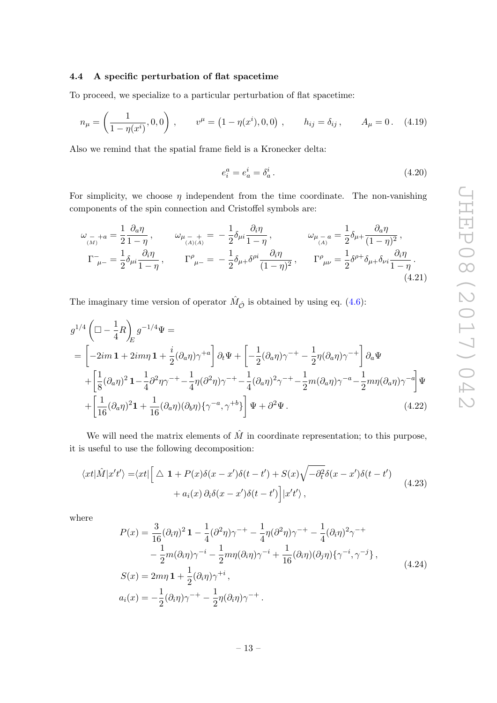#### <span id="page-13-0"></span>4.4 A specific perturbation of flat spacetime

To proceed, we specialize to a particular perturbation of flat spacetime:

$$
n_{\mu} = \left(\frac{1}{1 - \eta(x^{i})}, 0, 0\right), \qquad v^{\mu} = \left(1 - \eta(x^{i}), 0, 0\right), \qquad h_{ij} = \delta_{ij}, \qquad A_{\mu} = 0. \tag{4.19}
$$

Also we remind that the spatial frame field is a Kronecker delta:

$$
e_i^a = e_a^i = \delta_a^i. \tag{4.20}
$$

For simplicity, we choose  $\eta$  independent from the time coordinate. The non-vanishing components of the spin connection and Cristoffel symbols are:

$$
\omega_{\mu}{}_{-i}a = \frac{1}{2}\frac{\partial_a \eta}{1-\eta}, \qquad \omega_{\mu}{}_{(-i)(A)}{}_{+} = -\frac{1}{2}\delta_{\mu i}\frac{\partial_i \eta}{1-\eta}, \qquad \omega_{\mu}{}_{(-i)}{}_{a} = \frac{1}{2}\delta_{\mu}{}_{+}\frac{\partial_a \eta}{(1-\eta)^2},
$$
  
\n
$$
\Gamma_{\mu}{}_{-} = \frac{1}{2}\delta_{\mu i}\frac{\partial_i \eta}{1-\eta}, \qquad \Gamma_{\mu}{}^{\rho}{}_{-} = -\frac{1}{2}\delta_{\mu}{}_{+}\delta^{\rho i}\frac{\partial_i \eta}{(1-\eta)^2}, \qquad \Gamma_{\mu\nu}{}^{\rho} = \frac{1}{2}\delta^{\rho}{}_{+}\delta_{\mu}{}_{+}\delta_{\nu i}\frac{\partial_i \eta}{1-\eta}.
$$
\n(4.21)

The imaginary time version of operator  $\hat{M}_{\hat{O}}$  is obtained by using eq. [\(4.6\)](#page-11-4):

$$
g^{1/4} \left( \Box - \frac{1}{4} R \right)_{E} g^{-1/4} \Psi =
$$
  
=  $\left[ -2im \mathbf{1} + 2im\eta \mathbf{1} + \frac{i}{2} (\partial_a \eta) \gamma^{+a} \right] \partial_t \Psi + \left[ -\frac{1}{2} (\partial_a \eta) \gamma^{-+} - \frac{1}{2} \eta (\partial_a \eta) \gamma^{-+} \right] \partial_a \Psi$   
+  $\left[ \frac{1}{8} (\partial_a \eta)^2 \mathbf{1} - \frac{1}{4} \partial^2 \eta \gamma^{-+} - \frac{1}{4} \eta (\partial^2 \eta) \gamma^{-+} - \frac{1}{4} (\partial_a \eta)^2 \gamma^{-+} - \frac{1}{2} m (\partial_a \eta) \gamma^{-a} - \frac{1}{2} m \eta (\partial_a \eta) \gamma^{-a} \right] \Psi$   
+  $\left[ \frac{1}{16} (\partial_a \eta)^2 \mathbf{1} + \frac{1}{16} (\partial_a \eta) (\partial_b \eta) \{ \gamma^{-a}, \gamma^{+b} \} \right] \Psi + \partial^2 \Psi.$  (4.22)

We will need the matrix elements of  $\hat{M}$  in coordinate representation; to this purpose, it is useful to use the following decomposition:

<span id="page-13-1"></span>
$$
\langle xt|\hat{M}|x't'\rangle = \langle xt|\left[\Delta \mathbf{1} + P(x)\delta(x - x')\delta(t - t') + S(x)\sqrt{-\partial_t^2}\delta(x - x')\delta(t - t')\right] + a_i(x)\partial_i\delta(x - x')\delta(t - t')\Big]|x't'\rangle,
$$
\n(4.23)

where

$$
P(x) = \frac{3}{16} (\partial_i \eta)^2 \mathbf{1} - \frac{1}{4} (\partial^2 \eta) \gamma^{-+} - \frac{1}{4} \eta (\partial^2 \eta) \gamma^{-+} - \frac{1}{4} (\partial_i \eta)^2 \gamma^{-+} - \frac{1}{2} m (\partial_i \eta) \gamma^{-i} - \frac{1}{2} m \eta (\partial_i \eta) \gamma^{-i} + \frac{1}{16} (\partial_i \eta) (\partial_j \eta) \{ \gamma^{-i}, \gamma^{-j} \},
$$
  
\n
$$
S(x) = 2m\eta \mathbf{1} + \frac{1}{2} (\partial_i \eta) \gamma^{+i} ,
$$
  
\n
$$
a_i(x) = -\frac{1}{2} (\partial_i \eta) \gamma^{-+} - \frac{1}{2} \eta (\partial_i \eta) \gamma^{-+} .
$$
\n(4.24)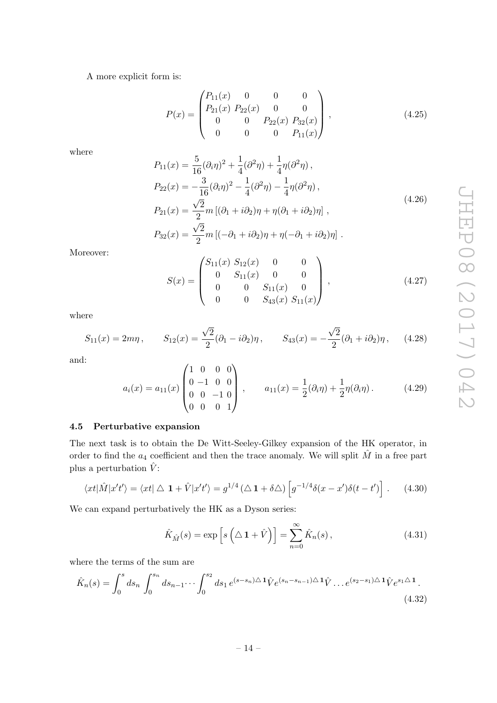A more explicit form is:

$$
P(x) = \begin{pmatrix} P_{11}(x) & 0 & 0 & 0 \ P_{21}(x) & P_{22}(x) & 0 & 0 \ 0 & 0 & P_{22}(x) & P_{32}(x) \ 0 & 0 & 0 & P_{11}(x) \end{pmatrix},
$$
(4.25)

where

$$
P_{11}(x) = \frac{5}{16} (\partial_i \eta)^2 + \frac{1}{4} (\partial^2 \eta) + \frac{1}{4} \eta (\partial^2 \eta) ,
$$
  
\n
$$
P_{22}(x) = -\frac{3}{16} (\partial_i \eta)^2 - \frac{1}{4} (\partial^2 \eta) - \frac{1}{4} \eta (\partial^2 \eta) ,
$$
  
\n
$$
P_{21}(x) = \frac{\sqrt{2}}{2} m [(\partial_1 + i \partial_2) \eta + \eta (\partial_1 + i \partial_2) \eta] ,
$$
  
\n
$$
P_{32}(x) = \frac{\sqrt{2}}{2} m [(-\partial_1 + i \partial_2) \eta + \eta (-\partial_1 + i \partial_2) \eta] .
$$
\n(4.26)

Moreover:

$$
S(x) = \begin{pmatrix} S_{11}(x) & S_{12}(x) & 0 & 0 \\ 0 & S_{11}(x) & 0 & 0 \\ 0 & 0 & S_{11}(x) & 0 \\ 0 & 0 & S_{43}(x) & S_{11}(x) \end{pmatrix},
$$
(4.27)

where

$$
S_{11}(x) = 2m\eta, \qquad S_{12}(x) = \frac{\sqrt{2}}{2}(\partial_1 - i\partial_2)\eta, \qquad S_{43}(x) = -\frac{\sqrt{2}}{2}(\partial_1 + i\partial_2)\eta, \qquad (4.28)
$$

and:

$$
a_i(x) = a_{11}(x) \begin{pmatrix} 1 & 0 & 0 & 0 \\ 0 & -1 & 0 & 0 \\ 0 & 0 & -1 & 0 \\ 0 & 0 & 0 & 1 \end{pmatrix}, \qquad a_{11}(x) = \frac{1}{2}(\partial_i \eta) + \frac{1}{2} \eta(\partial_i \eta). \tag{4.29}
$$

# <span id="page-14-0"></span>4.5 Perturbative expansion

The next task is to obtain the De Witt-Seeley-Gilkey expansion of the HK operator, in order to find the  $a_4$  coefficient and then the trace anomaly. We will split  $\hat{M}$  in a free part plus a perturbation  $\hat{V}$ :

$$
\langle xt|\hat{M}|x't'\rangle = \langle xt|\bigtriangleup \mathbf{1} + \hat{V}|x't'\rangle = g^{1/4}(\bigtriangleup \mathbf{1} + \delta \bigtriangleup) \left[g^{-1/4}\delta(x-x')\delta(t-t')\right]. \tag{4.30}
$$

We can expand perturbatively the HK as a Dyson series:

$$
\hat{K}_{\hat{M}}(s) = \exp\left[s\left(\Delta \mathbf{1} + \hat{V}\right)\right] = \sum_{n=0}^{\infty} \hat{K}_n(s),\tag{4.31}
$$

where the terms of the sum are

$$
\hat{K}_n(s) = \int_0^s ds_n \int_0^{s_n} ds_{n-1} \cdots \int_0^{s_2} ds_1 e^{(s-s_n)\Delta \mathbf{1}} \hat{V} e^{(s_n - s_{n-1})\Delta \mathbf{1}} \hat{V} \dots e^{(s_2 - s_1)\Delta \mathbf{1}} \hat{V} e^{s_1 \Delta \mathbf{1}}.
$$
\n(4.32)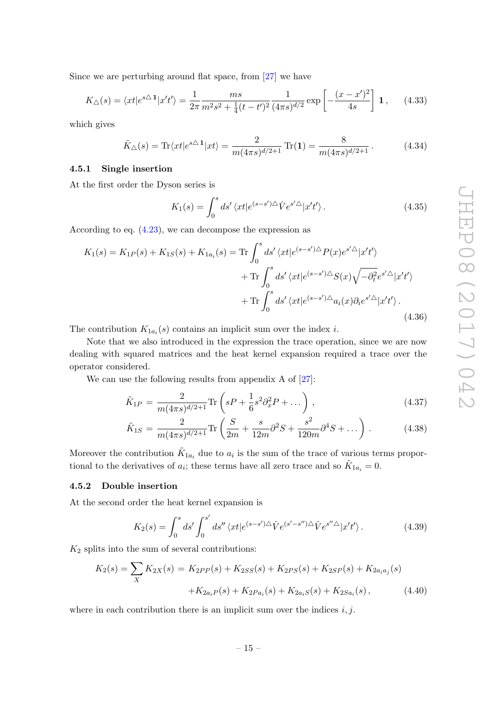Since we are perturbing around flat space, from [\[27\]](#page-23-3) we have

$$
K_{\triangle}(s) = \langle xt | e^{s\triangle 1} | x't' \rangle = \frac{1}{2\pi} \frac{ms}{m^2 s^2 + \frac{1}{4} (t - t')^2} \frac{1}{(4\pi s)^{d/2}} \exp\left[ -\frac{(x - x')^2}{4s} \right] \mathbf{1}, \qquad (4.33)
$$

which gives

$$
\tilde{K}_{\triangle}(s) = \text{Tr}\langle xt|e^{s\triangle 1}|xt\rangle = \frac{2}{m(4\pi s)^{d/2+1}}\text{Tr}(1) = \frac{8}{m(4\pi s)^{d/2+1}}.
$$
\n(4.34)

## <span id="page-15-0"></span>4.5.1 Single insertion

At the first order the Dyson series is

$$
K_1(s) = \int_0^s ds' \langle xt | e^{(s-s')\triangle} \hat{V} e^{s'\triangle} | x't' \rangle.
$$
 (4.35)

According to eq. [\(4.23\)](#page-13-1), we can decompose the expression as

$$
K_1(s) = K_{1P}(s) + K_{1S}(s) + K_{1a_i}(s) = \text{Tr} \int_0^s ds' \langle xt | e^{(s-s')\Delta} P(x) e^{s'\Delta} | x't' \rangle
$$
  
+ 
$$
\text{Tr} \int_0^s ds' \langle xt | e^{(s-s')\Delta} S(x) \sqrt{-\partial_t^2} e^{s'\Delta} | x't' \rangle
$$
  
+ 
$$
\text{Tr} \int_0^s ds' \langle xt | e^{(s-s')\Delta} a_i(x) \partial_i e^{s'\Delta} | x't' \rangle.
$$
(4.36)

The contribution  $K_{1a_i}(s)$  contains an implicit sum over the index *i*.

Note that we also introduced in the expression the trace operation, since we are now dealing with squared matrices and the heat kernel expansion required a trace over the operator considered.

We can use the following results from appendix A of  $[27]$ :

$$
\tilde{K}_{1P} = \frac{2}{m(4\pi s)^{d/2+1}} \text{Tr}\left(sP + \frac{1}{6}s^2 \partial_x^2 P + \dots\right),\tag{4.37}
$$

$$
\tilde{K}_{1S} = \frac{2}{m(4\pi s)^{d/2+1}} \text{Tr}\left(\frac{S}{2m} + \frac{s}{12m}\partial^2 S + \frac{s^2}{120m}\partial^4 S + \dots\right). \tag{4.38}
$$

Moreover the contribution  $\tilde{K}_{1a_i}$  due to  $a_i$  is the sum of the trace of various terms proportional to the derivatives of  $a_i$ ; these terms have all zero trace and so  $\tilde{K}_{1a_i} = 0$ .

#### <span id="page-15-1"></span>4.5.2 Double insertion

At the second order the heat kernel expansion is

$$
K_2(s) = \int_0^s ds' \int_0^{s'} ds'' \langle xt | e^{(s-s')\triangle} \hat{V} e^{(s'-s'')\triangle} \hat{V} e^{s''\triangle} | x't' \rangle.
$$
 (4.39)

 $K_2$  splits into the sum of several contributions:

$$
K_2(s) = \sum_{X} K_{2X}(s) = K_{2PP}(s) + K_{2SS}(s) + K_{2PS}(s) + K_{2SP}(s) + K_{2a_ia_j}(s) + K_{2a_iP}(s) + K_{2a_iP}(s) + K_{2a_iS}(s) + K_{2a_iS}(s),
$$
\n(4.40)

where in each contribution there is an implicit sum over the indices  $i, j$ .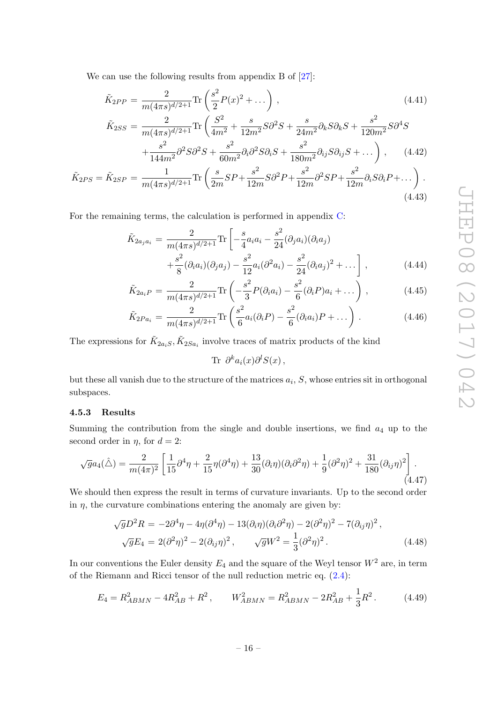We can use the following results from appendix B of  $[27]$ :

$$
\tilde{K}_{2PP} = \frac{2}{m(4\pi s)^{d/2+1}} \text{Tr}\left(\frac{s^2}{2} P(x)^2 + \dots\right),\tag{4.41}
$$
\n
$$
\tilde{K}_{2SS} = \frac{2}{m(4\pi s)^{d/2+1}} \text{Tr}\left(\frac{S^2}{4m^2} + \frac{s}{12m^2} S\partial^2 S + \frac{s}{24m^2} \partial_k S \partial_k S + \frac{s^2}{120m^2} S\partial^4 S + \frac{s^2}{144m^2} \partial^2 S \partial^2 S + \frac{s^2}{60m^2} \partial_i \partial^2 S \partial_i S + \frac{s^2}{180m^2} \partial_{ij} S \partial_{ij} S + \dots\right),\tag{4.42}
$$

$$
\tilde{K}_{2PS} = \tilde{K}_{2SP} = \frac{1}{m(4\pi s)^{d/2+1}} \text{Tr}\left(\frac{s}{2m}SP + \frac{s^2}{12m}S\partial^2 P + \frac{s^2}{12m}\partial^2 SP + \frac{s^2}{12m}\partial_i S\partial_i P + \dots\right). \tag{4.43}
$$

For the remaining terms, the calculation is performed in appendix [C:](#page-20-0)

<span id="page-16-1"></span>
$$
\tilde{K}_{2a_j a_i} = \frac{2}{m(4\pi s)^{d/2+1}} \text{Tr} \left[ -\frac{s}{4} a_i a_i - \frac{s^2}{24} (\partial_j a_i)(\partial_i a_j) + \frac{s^2}{8} (\partial_i a_i)(\partial_j a_j) - \frac{s^2}{12} a_i (\partial^2 a_i) - \frac{s^2}{24} (\partial_i a_j)^2 + \dots \right],
$$
\n(4.44)

$$
\tilde{K}_{2a_iP} = \frac{2}{m(4\pi s)^{d/2+1}} \text{Tr}\left(-\frac{s^2}{3}P(\partial_i a_i) - \frac{s^2}{6}(\partial_i P)a_i + \dots\right),\tag{4.45}
$$

$$
\tilde{K}_{2Pa_i} = \frac{2}{m(4\pi s)^{d/2+1}} \text{Tr}\left(\frac{s^2}{6} a_i(\partial_i P) - \frac{s^2}{6} (\partial_i a_i) P + \dots\right).
$$
 (4.46)

The expressions for  $\tilde{K}_{2a_iS}$ ,  $\tilde{K}_{2Sa_i}$  involve traces of matrix products of the kind

Tr  $\partial^k a_i(x) \partial^l S(x)$ ,

but these all vanish due to the structure of the matrices  $a_i$ , S, whose entries sit in orthogonal subspaces.

#### <span id="page-16-0"></span>4.5.3 Results

Summing the contribution from the single and double insertions, we find  $a_4$  up to the second order in  $\eta$ , for  $d = 2$ :

$$
\sqrt{g}a_4(\hat{\triangle}) = \frac{2}{m(4\pi)^2} \left[ \frac{1}{15} \partial^4 \eta + \frac{2}{15} \eta (\partial^4 \eta) + \frac{13}{30} (\partial_i \eta) (\partial_i \partial^2 \eta) + \frac{1}{9} (\partial^2 \eta)^2 + \frac{31}{180} (\partial_{ij} \eta)^2 \right].
$$
\n(4.47)

We should then express the result in terms of curvature invariants. Up to the second order in  $\eta$ , the curvature combinations entering the anomaly are given by:

$$
\sqrt{g}D^2R = -2\partial^4\eta - 4\eta(\partial^4\eta) - 13(\partial_i\eta)(\partial_i\partial^2\eta) - 2(\partial^2\eta)^2 - 7(\partial_{ij}\eta)^2,
$$
  

$$
\sqrt{g}E_4 = 2(\partial^2\eta)^2 - 2(\partial_{ij}\eta)^2, \qquad \sqrt{g}W^2 = \frac{1}{3}(\partial^2\eta)^2.
$$
 (4.48)

In our conventions the Euler density  $E_4$  and the square of the Weyl tensor  $W^2$  are, in term of the Riemann and Ricci tensor of the null reduction metric eq. [\(2.4\)](#page-4-0):

$$
E_4 = R_{ABMN}^2 - 4R_{AB}^2 + R^2, \qquad W_{ABMN}^2 = R_{ABMN}^2 - 2R_{AB}^2 + \frac{1}{3}R^2. \tag{4.49}
$$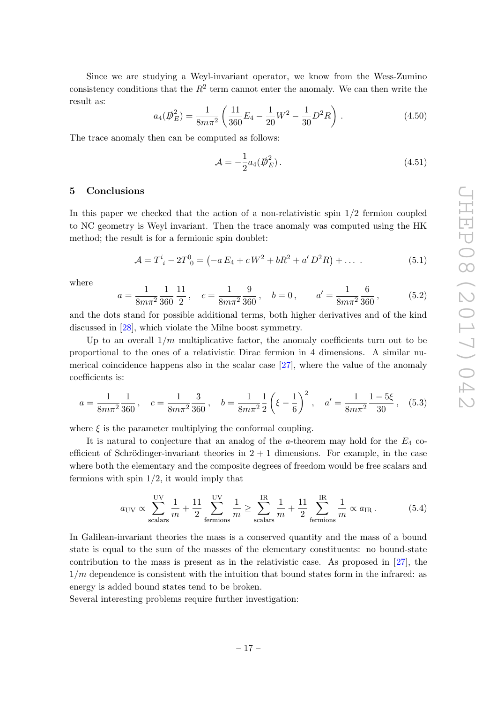Since we are studying a Weyl-invariant operator, we know from the Wess-Zumino consistency conditions that the  $R^2$  term cannot enter the anomaly. We can then write the result as:

$$
a_4(\overline{D}_E^2) = \frac{1}{8m\pi^2} \left( \frac{11}{360} E_4 - \frac{1}{20} W^2 - \frac{1}{30} D^2 R \right).
$$
 (4.50)

The trace anomaly then can be computed as follows:

$$
\mathcal{A} = -\frac{1}{2}a_4(\psi_E^2). \tag{4.51}
$$

# <span id="page-17-0"></span>5 Conclusions

In this paper we checked that the action of a non-relativistic spin  $1/2$  fermion coupled to NC geometry is Weyl invariant. Then the trace anomaly was computed using the HK method; the result is for a fermionic spin doublet:

$$
\mathcal{A} = T^i_{\;i} - 2T^0_{\;0} = \left( -a E_4 + c W^2 + bR^2 + a' D^2 R \right) + \dots \tag{5.1}
$$

where

$$
a = \frac{1}{8m\pi^2} \frac{1}{360} \frac{11}{2}, \quad c = \frac{1}{8m\pi^2} \frac{9}{360}, \quad b = 0, \qquad a' = \frac{1}{8m\pi^2} \frac{6}{360}, \tag{5.2}
$$

and the dots stand for possible additional terms, both higher derivatives and of the kind discussed in [\[28\]](#page-23-4), which violate the Milne boost symmetry.

Up to an overall  $1/m$  multiplicative factor, the anomaly coefficients turn out to be proportional to the ones of a relativistic Dirac fermion in 4 dimensions. A similar numerical coincidence happens also in the scalar case [\[27\]](#page-23-3), where the value of the anomaly coefficients is:

$$
a = \frac{1}{8m\pi^2} \frac{1}{360}, \quad c = \frac{1}{8m\pi^2} \frac{3}{360}, \quad b = \frac{1}{8m\pi^2} \frac{1}{2} \left(\xi - \frac{1}{6}\right)^2, \quad a' = \frac{1}{8m\pi^2} \frac{1 - 5\xi}{30}, \quad (5.3)
$$

where  $\xi$  is the parameter multiplying the conformal coupling.

It is natural to conjecture that an analog of the a-theorem may hold for the  $E_4$  coefficient of Schrödinger-invariant theories in  $2 + 1$  dimensions. For example, in the case where both the elementary and the composite degrees of freedom would be free scalars and fermions with spin  $1/2$ , it would imply that

$$
a_{\rm UV} \propto \sum_{\rm scalars}^{\rm UV} \frac{1}{m} + \frac{11}{2} \sum_{\rm fermions}^{\rm UV} \frac{1}{m} \ge \sum_{\rm scalars}^{\rm IR} \frac{1}{m} + \frac{11}{2} \sum_{\rm fermions}^{\rm IR} \frac{1}{m} \propto a_{\rm IR} \,. \tag{5.4}
$$

In Galilean-invariant theories the mass is a conserved quantity and the mass of a bound state is equal to the sum of the masses of the elementary constituents: no bound-state contribution to the mass is present as in the relativistic case. As proposed in [\[27\]](#page-23-3), the  $1/m$  dependence is consistent with the intuition that bound states form in the infrared: as energy is added bound states tend to be broken.

Several interesting problems require further investigation: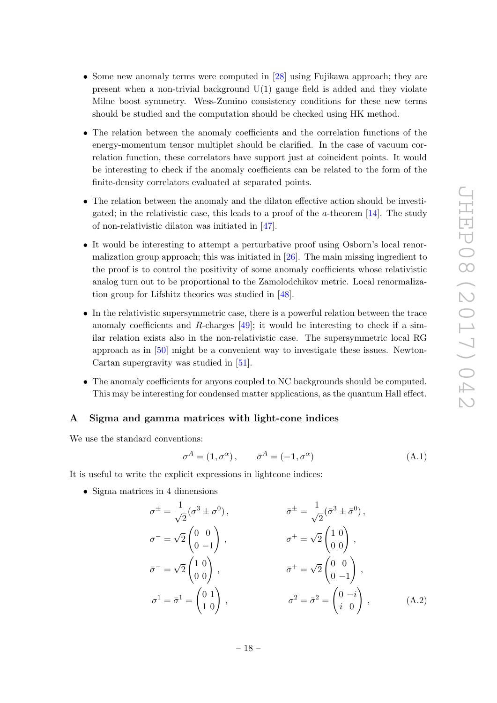- Some new anomaly terms were computed in [\[28\]](#page-23-4) using Fujikawa approach; they are present when a non-trivial background  $U(1)$  gauge field is added and they violate Milne boost symmetry. Wess-Zumino consistency conditions for these new terms should be studied and the computation should be checked using HK method.
- The relation between the anomaly coefficients and the correlation functions of the energy-momentum tensor multiplet should be clarified. In the case of vacuum correlation function, these correlators have support just at coincident points. It would be interesting to check if the anomaly coefficients can be related to the form of the finite-density correlators evaluated at separated points.
- The relation between the anomaly and the dilaton effective action should be investigated; in the relativistic case, this leads to a proof of the  $a$ -theorem [\[14\]](#page-22-10). The study of non-relativistic dilaton was initiated in [\[47\]](#page-24-5).
- It would be interesting to attempt a perturbative proof using Osborn's local renormalization group approach; this was initiated in [\[26\]](#page-23-2). The main missing ingredient to the proof is to control the positivity of some anomaly coefficients whose relativistic analog turn out to be proportional to the Zamolodchikov metric. Local renormalization group for Lifshitz theories was studied in [\[48\]](#page-24-6).
- In the relativistic supersymmetric case, there is a powerful relation between the trace anomaly coefficients and R-charges  $[49]$ ; it would be interesting to check if a similar relation exists also in the non-relativistic case. The supersymmetric local RG approach as in [\[50\]](#page-24-8) might be a convenient way to investigate these issues. Newton-Cartan supergravity was studied in [\[51\]](#page-24-9).
- The anomaly coefficients for anyons coupled to NC backgrounds should be computed. This may be interesting for condensed matter applications, as the quantum Hall effect.

#### <span id="page-18-0"></span>A Sigma and gamma matrices with light-cone indices

We use the standard conventions:

$$
\sigma^{A} = (1, \sigma^{\alpha}), \qquad \bar{\sigma}^{A} = (-1, \sigma^{\alpha})
$$
\n(A.1)

It is useful to write the explicit expressions in lightcone indices:

• Sigma matrices in 4 dimensions

$$
\sigma^{\pm} = \frac{1}{\sqrt{2}} (\sigma^3 \pm \sigma^0), \qquad \sigma^{\pm} = \frac{1}{\sqrt{2}} (\bar{\sigma}^3 \pm \bar{\sigma}^0),
$$
  
\n
$$
\sigma^- = \sqrt{2} \begin{pmatrix} 0 & 0 \\ 0 & -1 \end{pmatrix}, \qquad \sigma^+ = \sqrt{2} \begin{pmatrix} 1 & 0 \\ 0 & 0 \end{pmatrix},
$$
  
\n
$$
\bar{\sigma}^- = \sqrt{2} \begin{pmatrix} 1 & 0 \\ 0 & 0 \end{pmatrix}, \qquad \bar{\sigma}^+ = \sqrt{2} \begin{pmatrix} 0 & 0 \\ 0 & -1 \end{pmatrix},
$$
  
\n
$$
\sigma^1 = \bar{\sigma}^1 = \begin{pmatrix} 0 & 1 \\ 1 & 0 \end{pmatrix}, \qquad \sigma^2 = \bar{\sigma}^2 = \begin{pmatrix} 0 & -i \\ i & 0 \end{pmatrix}, \qquad (A.2)
$$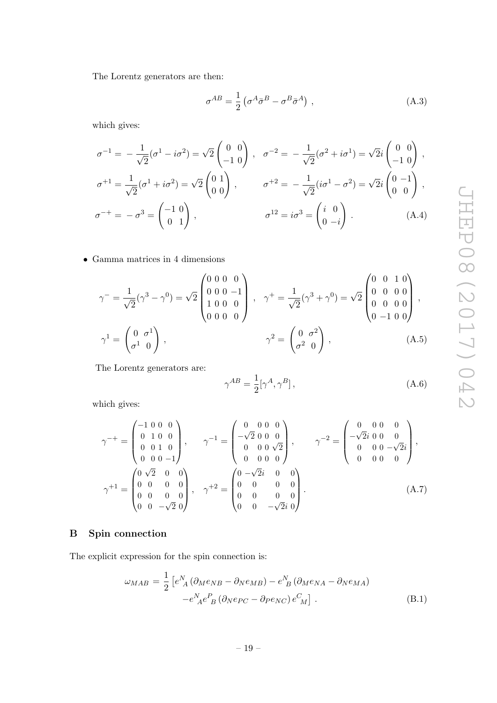The Lorentz generators are then:

$$
\sigma^{AB} = \frac{1}{2} \left( \sigma^A \bar{\sigma}^B - \sigma^B \bar{\sigma}^A \right) , \qquad (A.3)
$$

which gives:

$$
\sigma^{-1} = -\frac{1}{\sqrt{2}}(\sigma^1 - i\sigma^2) = \sqrt{2}\begin{pmatrix} 0 & 0 \\ -1 & 0 \end{pmatrix}, \quad \sigma^{-2} = -\frac{1}{\sqrt{2}}(\sigma^2 + i\sigma^1) = \sqrt{2}i\begin{pmatrix} 0 & 0 \\ -1 & 0 \end{pmatrix},
$$
  

$$
\sigma^{+1} = \frac{1}{\sqrt{2}}(\sigma^1 + i\sigma^2) = \sqrt{2}\begin{pmatrix} 0 & 1 \\ 0 & 0 \end{pmatrix}, \qquad \sigma^{+2} = -\frac{1}{\sqrt{2}}(i\sigma^1 - \sigma^2) = \sqrt{2}i\begin{pmatrix} 0 & -1 \\ 0 & 0 \end{pmatrix},
$$
  

$$
\sigma^{-+} = -\sigma^3 = \begin{pmatrix} -1 & 0 \\ 0 & 1 \end{pmatrix}, \qquad \sigma^{12} = i\sigma^3 = \begin{pmatrix} i & 0 \\ 0 & -i \end{pmatrix}.
$$
 (A.4)

 $\bullet~$  Gamma matrices in 4 dimensions

$$
\gamma^{-} = \frac{1}{\sqrt{2}} (\gamma^{3} - \gamma^{0}) = \sqrt{2} \begin{pmatrix} 0 & 0 & 0 & 0 \\ 0 & 0 & 0 & -1 \\ 1 & 0 & 0 & 0 \\ 0 & 0 & 0 & 0 \end{pmatrix}, \quad \gamma^{+} = \frac{1}{\sqrt{2}} (\gamma^{3} + \gamma^{0}) = \sqrt{2} \begin{pmatrix} 0 & 0 & 1 & 0 \\ 0 & 0 & 0 & 0 \\ 0 & 0 & 0 & 0 \\ 0 & -1 & 0 & 0 \end{pmatrix},
$$

$$
\gamma^{1} = \begin{pmatrix} 0 & \sigma^{1} \\ \sigma^{1} & 0 \end{pmatrix}, \qquad \gamma^{2} = \begin{pmatrix} 0 & \sigma^{2} \\ \sigma^{2} & 0 \end{pmatrix}, \qquad (A.5)
$$

The Lorentz generators are:

$$
\gamma^{AB} = \frac{1}{2} [\gamma^A, \gamma^B], \qquad (A.6)
$$

which gives:

$$
\gamma^{-+} = \begin{pmatrix} -1 & 0 & 0 & 0 \\ 0 & 1 & 0 & 0 \\ 0 & 0 & 1 & 0 \\ 0 & 0 & 0 & -1 \end{pmatrix}, \qquad \gamma^{-1} = \begin{pmatrix} 0 & 0 & 0 & 0 \\ -\sqrt{2} & 0 & 0 & 0 \\ 0 & 0 & 0 & \sqrt{2} \\ 0 & 0 & 0 & 0 \end{pmatrix}, \qquad \gamma^{-2} = \begin{pmatrix} 0 & 0 & 0 & 0 \\ -\sqrt{2}i & 0 & 0 & 0 \\ 0 & 0 & 0 & -\sqrt{2}i \\ 0 & 0 & 0 & 0 \end{pmatrix},
$$

$$
\gamma^{+1} = \begin{pmatrix} 0 & \sqrt{2} & 0 & 0 \\ 0 & 0 & 0 & 0 \\ 0 & 0 & 0 & 0 \\ 0 & 0 & -\sqrt{2}i & 0 \end{pmatrix}, \qquad \gamma^{+2} = \begin{pmatrix} 0 & -\sqrt{2}i & 0 & 0 \\ 0 & 0 & 0 & 0 \\ 0 & 0 & 0 & 0 \\ 0 & 0 & -\sqrt{2}i & 0 \end{pmatrix}.
$$
(A.7)

# <span id="page-19-0"></span>B Spin connection

The explicit expression for the spin connection is:

$$
\omega_{MAB} = \frac{1}{2} \left[ e^N_A \left( \partial_M e_{NB} - \partial_N e_{MB} \right) - e^N_B \left( \partial_M e_{NA} - \partial_N e_{MA} \right) - e^N_A e^P_B \left( \partial_N e_{PC} - \partial_P e_{NC} \right) e^C_M \right].
$$
\n(B.1)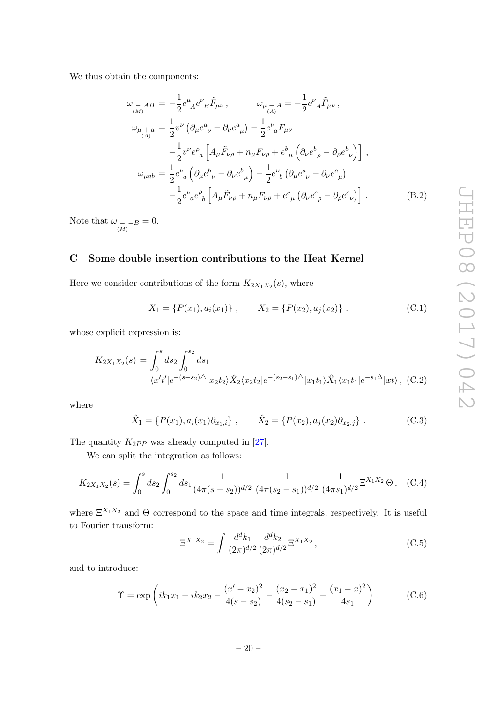We thus obtain the components:

$$
\omega_{\substack{-AB \\ (\mu)}} = -\frac{1}{2} e^{\mu}{}_{A} e^{\nu}{}_{B} \tilde{F}_{\mu\nu} , \qquad \omega_{\mu \substack{-A \\ (\mu)}} = -\frac{1}{2} e^{\nu}{}_{A} \tilde{F}_{\mu\nu} ,
$$
  
\n
$$
\omega_{\mu \substack{+a \\ (\mu)}} = \frac{1}{2} v^{\nu} \left( \partial_{\mu} e^{a}{}_{\nu} - \partial_{\nu} e^{a}{}_{\mu} \right) - \frac{1}{2} e^{\nu}{}_{a} F_{\mu\nu} - \frac{1}{2} v^{\nu} e^{\rho}{}_{a} \left[ A_{\mu} \tilde{F}_{\nu\rho} + n_{\mu} F_{\nu\rho} + e^{b}{}_{\mu} \left( \partial_{\nu} e^{b}{}_{\rho} - \partial_{\rho} e^{b}{}_{\nu} \right) \right] ,
$$
  
\n
$$
\omega_{\mu ab} = \frac{1}{2} e^{\nu}{}_{a} \left( \partial_{\mu} e^{b}{}_{\nu} - \partial_{\nu} e^{b}{}_{\mu} \right) - \frac{1}{2} e^{\nu}{}_{b} \left( \partial_{\mu} e^{a}{}_{\nu} - \partial_{\nu} e^{a}{}_{\mu} \right) - \frac{1}{2} e^{\nu}{}_{a} e^{\rho}{}_{b} \left[ A_{\mu} \tilde{F}_{\nu\rho} + n_{\mu} F_{\nu\rho} + e^{c}{}_{\mu} \left( \partial_{\nu} e^{c}{}_{\rho} - \partial_{\rho} e^{c}{}_{\nu} \right) \right] .
$$
  
\n(B.2)

Note that  $\omega_{\substack{(-,-)B \ (M)}} = 0.$ 

# <span id="page-20-0"></span>C Some double insertion contributions to the Heat Kernel

Here we consider contributions of the form  $K_{2X_1X_2}(s)$ , where

$$
X_1 = \{P(x_1), a_i(x_1)\}, \qquad X_2 = \{P(x_2), a_j(x_2)\}.
$$
 (C.1)

whose explicit expression is:

$$
K_{2X_1X_2}(s) = \int_0^s ds_2 \int_0^{s_2} ds_1
$$
  

$$
\langle x't'|e^{-(s-s_2)\triangle}|x_2t_2\rangle \hat{X}_2 \langle x_2t_2|e^{-(s_2-s_1)\triangle}|x_1t_1\rangle \hat{X}_1 \langle x_1t_1|e^{-s_1\triangle}|xt\rangle , \quad (C.2)
$$

where

$$
\hat{X}_1 = \{ P(x_1), a_i(x_1) \partial_{x_1, i} \}, \qquad \hat{X}_2 = \{ P(x_2), a_j(x_2) \partial_{x_2, j} \}.
$$
 (C.3)

The quantity  $K_{2PP}$  was already computed in [\[27\]](#page-23-3).

We can split the integration as follows:

$$
K_{2X_1X_2}(s) = \int_0^s ds_2 \int_0^{s_2} ds_1 \frac{1}{(4\pi(s - s_2))^{d/2}} \frac{1}{(4\pi(s_2 - s_1))^{d/2}} \frac{1}{(4\pi s_1)^{d/2}} \Xi^{X_1X_2} \Theta, \quad (C.4)
$$

where  $\Xi^{X_1 X_2}$  and  $\Theta$  correspond to the space and time integrals, respectively. It is useful to Fourier transform:

$$
\Xi^{X_1 X_2} = \int \frac{d^d k_1}{(2\pi)^{d/2}} \frac{d^d k_2}{(2\pi)^{d/2}} \tilde{\Xi}^{X_1 X_2}, \qquad (C.5)
$$

and to introduce:

$$
\Upsilon = \exp\left(ik_1x_1 + ik_2x_2 - \frac{(x'-x_2)^2}{4(s-s_2)} - \frac{(x_2-x_1)^2}{4(s_2-s_1)} - \frac{(x_1-x)^2}{4s_1}\right).
$$
 (C.6)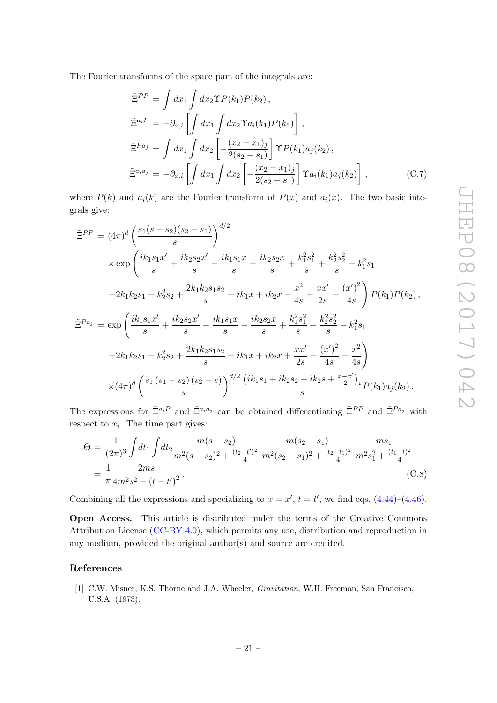The Fourier transforms of the space part of the integrals are:

$$
\tilde{\Xi}^{PP} = \int dx_1 \int dx_2 \Upsilon P(k_1) P(k_2),
$$
  
\n
$$
\tilde{\Xi}^{a_i P} = -\partial_{x,i} \left[ \int dx_1 \int dx_2 \Upsilon a_i(k_1) P(k_2) \right],
$$
  
\n
$$
\tilde{\Xi}^{Pa_j} = \int dx_1 \int dx_2 \left[ -\frac{(x_2 - x_1)_j}{2(s_2 - s_1)} \right] \Upsilon P(k_1) a_j(k_2),
$$
  
\n
$$
\tilde{\Xi}^{a_i a_j} = -\partial_{x,i} \left[ \int dx_1 \int dx_2 \left[ -\frac{(x_2 - x_1)_j}{2(s_2 - s_1)} \right] \Upsilon a_i(k_1) a_j(k_2) \right],
$$
\n(C.7)

where  $P(k)$  and  $a_i(k)$  are the Fourier transform of  $P(x)$  and  $a_i(x)$ . The two basic integrals give:

$$
\tilde{\Xi}^{PP} = (4\pi)^d \left( \frac{s_1(s - s_2)(s_2 - s_1)}{s} \right)^{d/2} \times \exp \left( \frac{i k_1 s_1 x'}{s} + \frac{i k_2 s_2 x'}{s} - \frac{i k_1 s_1 x}{s} - \frac{i k_2 s_2 x}{s} + \frac{k_1^2 s_1^2}{s} + \frac{k_2^2 s_2^2}{s} - k_1^2 s_1 \n-2k_1 k_2 s_1 - k_2^2 s_2 + \frac{2k_1 k_2 s_1 s_2}{s} + i k_1 x + i k_2 x - \frac{x^2}{4s} + \frac{x x'}{2s} - \frac{(x')^2}{4s} \right) P(k_1) P(k_2),
$$
  
\n
$$
\tilde{\Xi}^{Pa_j} = \exp \left( \frac{i k_1 s_1 x'}{s} + \frac{i k_2 s_2 x'}{s} - \frac{i k_1 s_1 x}{s} - \frac{i k_2 s_2 x}{s} + \frac{k_1^2 s_1^2}{s} + \frac{k_2^2 s_2^2}{s} - k_1^2 s_1 \n-2k_1 k_2 s_1 - k_2^2 s_2 + \frac{2k_1 k_2 s_1 s_2}{s} + i k_1 x + i k_2 x + \frac{x x'}{2s} - \frac{(x')^2}{4s} - \frac{x^2}{4s} \right) \times (4\pi)^d \left( \frac{s_1 (s_1 - s_2) (s_2 - s)}{s} \right)^{d/2} \frac{(i k_1 s_1 + i k_2 s_2 - i k_2 s + \frac{x - x'}{2})}{s} P(k_1) a_j(k_2).
$$

The expressions for  $\tilde{\Xi}^{a_iP}$  and  $\tilde{\Xi}^{a_i a_j}$  can be obtained differentiating  $\tilde{\Xi}^{PP}$  and  $\tilde{\Xi}^{Pa_j}$  with respect to  $x_i$ . The time part gives:

$$
\Theta = \frac{1}{(2\pi)^3} \int dt_1 \int dt_2 \frac{m(s - s_2)}{m^2(s - s_2)^2 + \frac{(t_2 - t')^2}{4}} \frac{m(s_2 - s_1)}{m^2(s_2 - s_1)^2 + \frac{(t_2 - t_1)^2}{4}} \frac{ms_1}{m^2 s_1^2 + \frac{(t_1 - t)^2}{4}} \n= \frac{1}{\pi} \frac{2ms}{4m^2 s^2 + (t - t')^2}.
$$
\n(C.8)

Combining all the expressions and specializing to  $x = x'$ ,  $t = t'$ , we find eqs. [\(4.44\)](#page-16-1)–[\(4.46\)](#page-16-1).

Open Access. This article is distributed under the terms of the Creative Commons Attribution License [\(CC-BY 4.0\)](https://creativecommons.org/licenses/by/4.0/), which permits any use, distribution and reproduction in any medium, provided the original author(s) and source are credited.

#### References

<span id="page-21-0"></span>[1] C.W. Misner, K.S. Thorne and J.A. Wheeler, Gravitation, W.H. Freeman, San Francisco, U.S.A. (1973).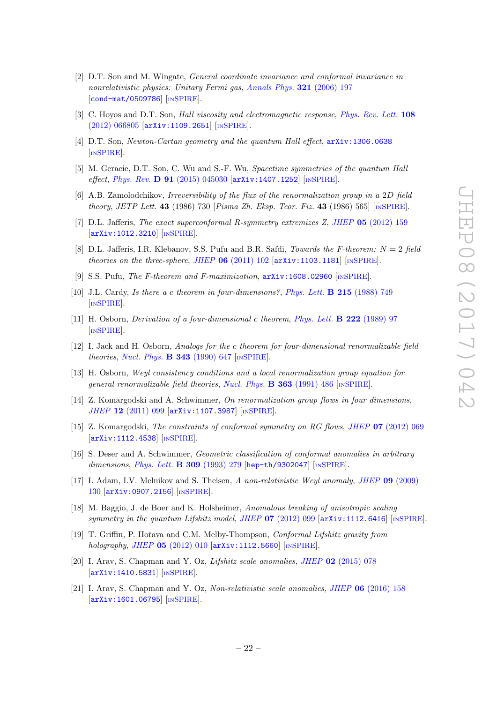- <span id="page-22-0"></span>[2] D.T. Son and M. Wingate, General coordinate invariance and conformal invariance in nonrelativistic physics: Unitary Fermi gas, [Annals Phys.](https://doi.org/10.1016/j.aop.2005.11.001) 321 (2006) 197 [[cond-mat/0509786](https://arxiv.org/abs/cond-mat/0509786)] [IN[SPIRE](https://inspirehep.net/search?p=find+EPRINT+cond-mat/0509786)].
- [3] C. Hoyos and D.T. Son, Hall viscosity and electromagnetic response, [Phys. Rev. Lett.](https://doi.org/10.1103/PhysRevLett.108.066805) 108 [\(2012\) 066805](https://doi.org/10.1103/PhysRevLett.108.066805) [[arXiv:1109.2651](https://arxiv.org/abs/1109.2651)] [IN[SPIRE](https://inspirehep.net/search?p=find+EPRINT+arXiv:1109.2651)].
- [4] D.T. Son, Newton-Cartan geometry and the quantum Hall effect, [arXiv:1306.0638](https://arxiv.org/abs/1306.0638) [IN[SPIRE](https://inspirehep.net/search?p=find+EPRINT+arXiv:1306.0638)].
- <span id="page-22-1"></span>[5] M. Geracie, D.T. Son, C. Wu and S.-F. Wu, Spacetime symmetries of the quantum Hall effect, Phys. Rev. D 91 [\(2015\) 045030](https://doi.org/10.1103/PhysRevD.91.045030) [[arXiv:1407.1252](https://arxiv.org/abs/1407.1252)] [IN[SPIRE](https://inspirehep.net/search?p=find+EPRINT+arXiv:1407.1252)].
- <span id="page-22-2"></span>[6] A.B. Zamolodchikov, Irreversibility of the flux of the renormalization group in a 2D field theory, JETP Lett. 43 (1986) 730 [Pisma Zh. Eksp. Teor. Fiz. 43 (1986) 565] [IN[SPIRE](https://inspirehep.net/search?p=find+J+%22JETPLett.,43,730%22)].
- <span id="page-22-3"></span>[7] D.L. Jafferis, The exact superconformal R-symmetry extremizes Z, JHEP 05 [\(2012\) 159](https://doi.org/10.1007/JHEP05(2012)159) [[arXiv:1012.3210](https://arxiv.org/abs/1012.3210)] [IN[SPIRE](https://inspirehep.net/search?p=find+EPRINT+arXiv:1012.3210)].
- [8] D.L. Jafferis, I.R. Klebanov, S.S. Pufu and B.R. Safdi, Towards the F-theorem:  $N = 2$  field theories on the three-sphere, JHEP  $06$  [\(2011\) 102](https://doi.org/10.1007/JHEP06(2011)102)  $\text{arXiv:1103.1181}$  $\text{arXiv:1103.1181}$  $\text{arXiv:1103.1181}$  [IN[SPIRE](https://inspirehep.net/search?p=find+EPRINT+arXiv:1103.1181)].
- <span id="page-22-4"></span>[9] S.S. Pufu, The F-theorem and F-maximization,  $arXiv:1608.02960$  [IN[SPIRE](https://inspirehep.net/search?p=find+EPRINT+arXiv:1608.02960)].
- <span id="page-22-5"></span>[10] J.L. Cardy, Is there a c theorem in four-dimensions?, [Phys. Lett.](https://doi.org/10.1016/0370-2693(88)90054-8) B 215 (1988) 749 [IN[SPIRE](https://inspirehep.net/search?p=find+J+%22Phys.Lett.,B215,749%22)].
- [11] H. Osborn, Derivation of a four-dimensional c theorem, [Phys. Lett.](https://doi.org/10.1016/0370-2693(89)90729-6) B 222 (1989) 97 [IN[SPIRE](https://inspirehep.net/search?p=find+J+%22Phys.Lett.,B222,97%22)].
- [12] I. Jack and H. Osborn, Analogs for the c theorem for four-dimensional renormalizable field theories, [Nucl. Phys.](https://doi.org/10.1016/0550-3213(90)90584-Z)  $\bf{B}$  343 (1990) 647 [IN[SPIRE](https://inspirehep.net/search?p=find+J+%22Nucl.Phys.,B343,647%22)].
- [13] H. Osborn, Weyl consistency conditions and a local renormalization group equation for general renormalizable field theories, [Nucl. Phys.](https://doi.org/10.1016/0550-3213(91)80030-P) **B 363** (1991) 486 [IN[SPIRE](https://inspirehep.net/search?p=find+J+%22Nucl.Phys.,B363,486%22)].
- <span id="page-22-10"></span>[14] Z. Komargodski and A. Schwimmer, On renormalization group flows in four dimensions, JHEP 12 [\(2011\) 099](https://doi.org/10.1007/JHEP12(2011)099) [[arXiv:1107.3987](https://arxiv.org/abs/1107.3987)] [IN[SPIRE](https://inspirehep.net/search?p=find+EPRINT+arXiv:1107.3987)].
- <span id="page-22-6"></span>[15] Z. Komargodski, The constraints of conformal symmetry on RG flows, JHEP 07 [\(2012\) 069](https://doi.org/10.1007/JHEP07(2012)069) [[arXiv:1112.4538](https://arxiv.org/abs/1112.4538)] [IN[SPIRE](https://inspirehep.net/search?p=find+EPRINT+arXiv:1112.4538)].
- <span id="page-22-7"></span>[16] S. Deser and A. Schwimmer, Geometric classification of conformal anomalies in arbitrary dimensions, [Phys. Lett.](https://doi.org/10.1016/0370-2693(93)90934-A) **B 309** (1993) 279 [[hep-th/9302047](https://arxiv.org/abs/hep-th/9302047)] [IN[SPIRE](https://inspirehep.net/search?p=find+EPRINT+hep-th/9302047)].
- <span id="page-22-8"></span>[17] I. Adam, I.V. Melnikov and S. Theisen, A non-relativistic Weyl anomaly, JHEP 09 [\(2009\)](https://doi.org/10.1088/1126-6708/2009/09/130) [130](https://doi.org/10.1088/1126-6708/2009/09/130) [[arXiv:0907.2156](https://arxiv.org/abs/0907.2156)] [IN[SPIRE](https://inspirehep.net/search?p=find+EPRINT+arXiv:0907.2156)].
- [18] M. Baggio, J. de Boer and K. Holsheimer, Anomalous breaking of anisotropic scaling symmetry in the quantum Lifshitz model, JHEP  $07$  [\(2012\) 099](https://doi.org/10.1007/JHEP07(2012)099) [[arXiv:1112.6416](https://arxiv.org/abs/1112.6416)] [IN[SPIRE](https://inspirehep.net/search?p=find+EPRINT+arXiv:1112.6416)].
- [19] T. Griffin, P. Hořava and C.M. Melby-Thompson, *Conformal Lifshitz gravity from* holography, JHEP  $05$  [\(2012\) 010](https://doi.org/10.1007/JHEP05(2012)010)  $\left[$ [arXiv:1112.5660](https://arxiv.org/abs/1112.5660) $\right]$   $\left[$ IN[SPIRE](https://inspirehep.net/search?p=find+EPRINT+arXiv:1112.5660) $\right]$ .
- [20] I. Arav, S. Chapman and Y. Oz, *Lifshitz scale anomalies*, *JHEP* 02 [\(2015\) 078](https://doi.org/10.1007/JHEP02(2015)078) [[arXiv:1410.5831](https://arxiv.org/abs/1410.5831)] [IN[SPIRE](https://inspirehep.net/search?p=find+EPRINT+arXiv:1410.5831)].
- <span id="page-22-9"></span>[21] I. Arav, S. Chapman and Y. Oz, Non-relativistic scale anomalies, JHEP 06 [\(2016\) 158](https://doi.org/10.1007/JHEP06(2016)158) [[arXiv:1601.06795](https://arxiv.org/abs/1601.06795)] [IN[SPIRE](https://inspirehep.net/search?p=find+EPRINT+arXiv:1601.06795)].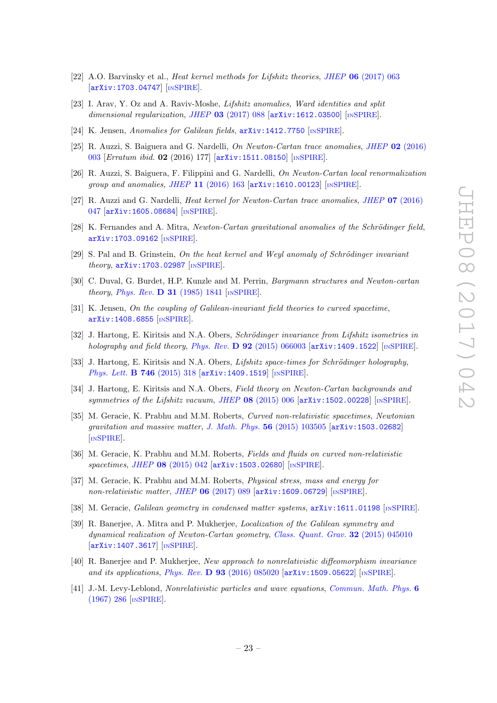- [22] A.O. Barvinsky et al., Heat kernel methods for Lifshitz theories, JHEP 06 [\(2017\) 063](https://doi.org/10.1007/JHEP06(2017)063) [[arXiv:1703.04747](https://arxiv.org/abs/1703.04747)] [IN[SPIRE](https://inspirehep.net/search?p=find+EPRINT+arXiv:1703.04747)].
- <span id="page-23-0"></span>[23] I. Arav, Y. Oz and A. Raviv-Moshe, Lifshitz anomalies, Ward identities and split dimensional regularization, JHEP 03 [\(2017\) 088](https://doi.org/10.1007/JHEP03(2017)088)  $\left[$ [arXiv:1612.03500](https://arxiv.org/abs/1612.03500) $\right]$  [IN[SPIRE](https://inspirehep.net/search?p=find+EPRINT+arXiv:1612.03500)].
- <span id="page-23-1"></span>[24] K. Jensen, Anomalies for Galilean fields, [arXiv:1412.7750](https://arxiv.org/abs/1412.7750) [IN[SPIRE](https://inspirehep.net/search?p=find+EPRINT+arXiv:1412.7750)].
- <span id="page-23-6"></span>[25] R. Auzzi, S. Baiguera and G. Nardelli, On Newton-Cartan trace anomalies, JHEP 02 [\(2016\)](https://doi.org/10.1007/JHEP02(2016)003) [003](https://doi.org/10.1007/JHEP02(2016)003) [Erratum ibid. 02 (2016) 177] [[arXiv:1511.08150](https://arxiv.org/abs/1511.08150)] [IN[SPIRE](https://inspirehep.net/search?p=find+EPRINT+arXiv:1511.08150)].
- <span id="page-23-2"></span>[26] R. Auzzi, S. Baiguera, F. Filippini and G. Nardelli, On Newton-Cartan local renormalization group and anomalies, JHEP  $11$  [\(2016\) 163](https://doi.org/10.1007/JHEP11(2016)163)  $\text{arXiv:1610.00123}$  $\text{arXiv:1610.00123}$  $\text{arXiv:1610.00123}$  [IN[SPIRE](https://inspirehep.net/search?p=find+EPRINT+arXiv:1610.00123)].
- <span id="page-23-3"></span>[27] R. Auzzi and G. Nardelli, Heat kernel for Newton-Cartan trace anomalies, JHEP 07 [\(2016\)](https://doi.org/10.1007/JHEP07(2016)047) [047](https://doi.org/10.1007/JHEP07(2016)047) [[arXiv:1605.08684](https://arxiv.org/abs/1605.08684)] [IN[SPIRE](https://inspirehep.net/search?p=find+EPRINT+arXiv:1605.08684)].
- <span id="page-23-4"></span>[28] K. Fernandes and A. Mitra, Newton-Cartan gravitational anomalies of the Schrödinger field, [arXiv:1703.09162](https://arxiv.org/abs/1703.09162) [IN[SPIRE](https://inspirehep.net/search?p=find+EPRINT+arXiv:1703.09162)].
- <span id="page-23-5"></span>[29] S. Pal and B. Grinstein, On the heat kernel and Weyl anomaly of Schrödinger invariant theory, [arXiv:1703.02987](https://arxiv.org/abs/1703.02987) [IN[SPIRE](https://inspirehep.net/search?p=find+EPRINT+arXiv:1703.02987)].
- <span id="page-23-7"></span>[30] C. Duval, G. Burdet, H.P. Kunzle and M. Perrin, Bargmann structures and Newton-cartan theory, Phys. Rev. D 31 [\(1985\) 1841](https://doi.org/10.1103/PhysRevD.31.1841)  $\text{INSPIRE}$  $\text{INSPIRE}$  $\text{INSPIRE}$ .
- <span id="page-23-8"></span>[31] K. Jensen, On the coupling of Galilean-invariant field theories to curved spacetime, [arXiv:1408.6855](https://arxiv.org/abs/1408.6855) [IN[SPIRE](https://inspirehep.net/search?p=find+EPRINT+arXiv:1408.6855)].
- [32] J. Hartong, E. Kiritsis and N.A. Obers, Schrödinger invariance from Lifshitz isometries in holography and field theory, Phys. Rev.  $\bf{D}$  92 [\(2015\) 066003](https://doi.org/10.1103/PhysRevD.92.066003) [[arXiv:1409.1522](https://arxiv.org/abs/1409.1522)] [IN[SPIRE](https://inspirehep.net/search?p=find+EPRINT+arXiv:1409.1522)].
- [33] J. Hartong, E. Kiritsis and N.A. Obers, Lifshitz space-times for Schrödinger holography, [Phys. Lett.](https://doi.org/10.1016/j.physletb.2015.05.010) **B 746** (2015) 318 [[arXiv:1409.1519](https://arxiv.org/abs/1409.1519)] [IN[SPIRE](https://inspirehep.net/search?p=find+EPRINT+arXiv:1409.1519)].
- [34] J. Hartong, E. Kiritsis and N.A. Obers, Field theory on Newton-Cartan backgrounds and symmetries of the Lifshitz vacuum, JHEP  $08$  [\(2015\) 006](https://doi.org/10.1007/JHEP08(2015)006)  $\left[$ [arXiv:1502.00228](https://arxiv.org/abs/1502.00228) $\right]$  [IN[SPIRE](https://inspirehep.net/search?p=find+EPRINT+arXiv:1502.00228)].
- [35] M. Geracie, K. Prabhu and M.M. Roberts, Curved non-relativistic spacetimes, Newtonian gravitation and massive matter, [J. Math. Phys.](https://doi.org/10.1063/1.4932967) 56 (2015) 103505 [[arXiv:1503.02682](https://arxiv.org/abs/1503.02682)] [IN[SPIRE](https://inspirehep.net/search?p=find+EPRINT+arXiv:1503.02682)].
- [36] M. Geracie, K. Prabhu and M.M. Roberts, Fields and fluids on curved non-relativistic spacetimes, JHEP 08 [\(2015\) 042](https://doi.org/10.1007/JHEP08(2015)042) [[arXiv:1503.02680](https://arxiv.org/abs/1503.02680)] [IN[SPIRE](https://inspirehep.net/search?p=find+EPRINT+arXiv:1503.02680)].
- [37] M. Geracie, K. Prabhu and M.M. Roberts, *Physical stress, mass and energy for* non-relativistic matter, JHEP  $06$  [\(2017\) 089](https://doi.org/10.1007/JHEP06(2017)089) [[arXiv:1609.06729](https://arxiv.org/abs/1609.06729)] [IN[SPIRE](https://inspirehep.net/search?p=find+EPRINT+arXiv:1609.06729)].
- [38] M. Geracie, Galilean geometry in condensed matter systems, [arXiv:1611.01198](https://arxiv.org/abs/1611.01198) [IN[SPIRE](https://inspirehep.net/search?p=find+EPRINT+arXiv:1611.01198)].
- [39] R. Banerjee, A. Mitra and P. Mukherjee, Localization of the Galilean symmetry and dynamical realization of Newton-Cartan geometry, [Class. Quant. Grav.](https://doi.org/10.1088/0264-9381/32/4/045010) 32 (2015) 045010 [[arXiv:1407.3617](https://arxiv.org/abs/1407.3617)] [IN[SPIRE](https://inspirehep.net/search?p=find+EPRINT+arXiv:1407.3617)].
- <span id="page-23-9"></span>[40] R. Banerjee and P. Mukherjee, New approach to nonrelativistic diffeomorphism invariance and its applications, Phys. Rev. D  $93$  [\(2016\) 085020](https://doi.org/10.1103/PhysRevD.93.085020) [[arXiv:1509.05622](https://arxiv.org/abs/1509.05622)] [IN[SPIRE](https://inspirehep.net/search?p=find+EPRINT+arXiv:1509.05622)].
- <span id="page-23-10"></span>[41] J.-M. Levy-Leblond, Nonrelativistic particles and wave equations, [Commun. Math. Phys.](https://doi.org/10.1007/BF01646020) 6 [\(1967\) 286](https://doi.org/10.1007/BF01646020) [IN[SPIRE](https://inspirehep.net/search?p=find+J+%22Comm.Math.Phys.,6,286%22)].